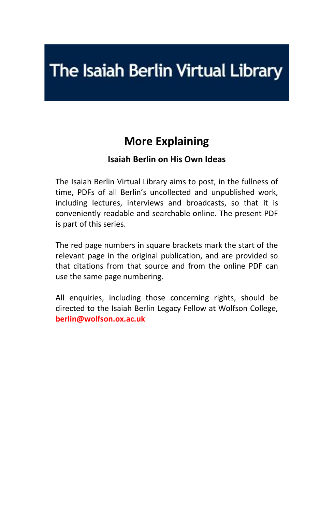# The Isaiah Berlin Virtual Library

# **More Explaining**

## **Isaiah Berlin on His Own Ideas**

The Isaiah Berlin Virtual Library aims to post, in the fullness of time, PDFs of all Berlin's uncollected and unpublished work, including lectures, interviews and broadcasts, so that it is conveniently readable and searchable online. The present PDF is part of this series.

The red page numbers in square brackets mark the start of the relevant page in the original publication, and are provided so that citations from that source and from the online PDF can use the same page numbering.

All enquiries, including those concerning rights, should be directed to the Isaiah Berlin Legacy Fellow at Wolfson College, **[berlin@wolfson.ox.ac.uk](mailto:berlin@wolfson.ox.ac.uk)**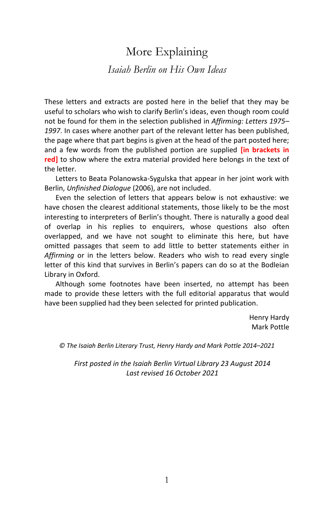## More Explaining

## *Isaiah Berlin on His Own Ideas*

These letters and extracts are posted here in the belief that they may be useful to scholars who wish to clarify Berlin's ideas, even though room could not be found for them in the selection published in *Affirming: Letters 1975– 1997*. In cases where another part of the relevant letter has been published, the page where that part begins is given at the head of the part posted here; and a few words from the published portion are supplied **[in brackets in red]** to show where the extra material provided here belongs in the text of the letter.

Letters to Beata Polanowska-Sygulska that appear in her joint work with Berlin, *Unfinished Dialogue* (2006), are not included.

Even the selection of letters that appears below is not exhaustive: we have chosen the clearest additional statements, those likely to be the most interesting to interpreters of Berlin's thought. There is naturally a good deal of overlap in his replies to enquirers, whose questions also often overlapped, and we have not sought to eliminate this here, but have omitted passages that seem to add little to better statements either in *Affirming* or in the letters below. Readers who wish to read every single letter of this kind that survives in Berlin's papers can do so at the Bodleian Library in Oxford.

Although some footnotes have been inserted, no attempt has been made to provide these letters with the full editorial apparatus that would have been supplied had they been selected for printed publication.

> Henry Hardy Mark Pottle

*© The Isaiah Berlin Literary Trust, Henry Hardy and Mark Pottle 2014–2021*

*First posted in the Isaiah Berlin Virtual Library 23 August 2014 Last revised 16 October 2021*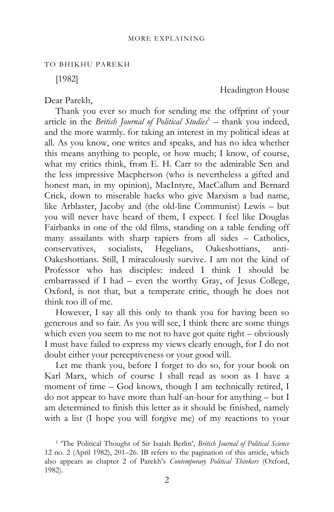### TO BHIKHU PAREKH

[1982]

Headington House

Dear Parekh,

Thank you ever so much for sending me the offprint of your article in the *British Journal of Political Studies* 1 – thank you indeed, and the more warmly. for taking an interest in my political ideas at all. As you know, one writes and speaks, and has no idea whether this means anything to people, or how much; I know, of course, what my critics think, from E. H. Carr to the admirable Sen and the less impressive Macpherson (who is nevertheless a gifted and honest man, in my opinion), MacIntyre, MacCallum and Bernard Crick, down to miserable hacks who give Marxism a bad name, like Arblaster, Jacoby and (the old-line Communist) Lewis – but you will never have heard of them, I expect. I feel like Douglas Fairbanks in one of the old films, standing on a table fending off many assailants with sharp rapiers from all sides – Catholics, conservatives, socialists, Hegelians, Oakeshottians, anti-Oakeshottians. Still, I miraculously survive. I am not the kind of Professor who has disciples: indeed I think I should be embarrassed if I had – even the worthy Gray, of Jesus College, Oxford, is not that, but a temperate critic, though he does not think too ill of me.

However, I say all this only to thank you for having been so generous and so fair. As you will see, I think there are some things which even you seem to me not to have got quite right – obviously I must have failed to express my views clearly enough, for I do not doubt either your perceptiveness or your good will.

Let me thank you, before I forget to do so, for your book on Karl Marx, which of course I shall read as soon as I have a moment of time – God knows, though I am technically retired, I do not appear to have more than half-an-hour for anything – but I am determined to finish this letter as it should be finished, namely with a list (I hope you will forgive me) of my reactions to your

<sup>&</sup>lt;sup>1</sup> 'The Political Thought of Sir Isaiah Berlin', British Journal of Political Science 12 no. 2 (April 1982), 201–26. IB refers to the pagination of this article, which also appears as chapter 2 of Parekh's *Contemporary Political Thinkers* (Oxford, 1982).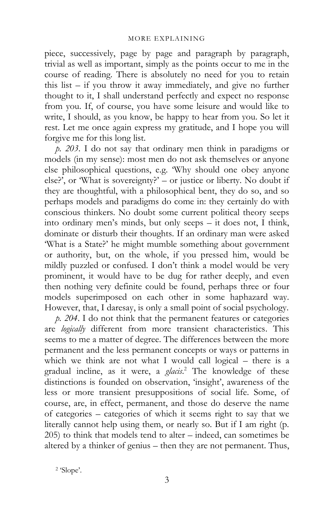piece, successively, page by page and paragraph by paragraph, trivial as well as important, simply as the points occur to me in the course of reading. There is absolutely no need for you to retain this list – if you throw it away immediately, and give no further thought to it, I shall understand perfectly and expect no response from you. If, of course, you have some leisure and would like to write, I should, as you know, be happy to hear from you. So let it rest. Let me once again express my gratitude, and I hope you will forgive me for this long list.

*p. 203*. I do not say that ordinary men think in paradigms or models (in my sense): most men do not ask themselves or anyone else philosophical questions, e.g. 'Why should one obey anyone else?', or 'What is sovereignty?' – or justice or liberty. No doubt if they are thoughtful, with a philosophical bent, they do so, and so perhaps models and paradigms do come in: they certainly do with conscious thinkers. No doubt some current political theory seeps into ordinary men's minds, but only seeps – it does not, I think, dominate or disturb their thoughts. If an ordinary man were asked 'What is a State?' he might mumble something about government or authority, but, on the whole, if you pressed him, would be mildly puzzled or confused. I don't think a model would be very prominent, it would have to be dug for rather deeply, and even then nothing very definite could be found, perhaps three or four models superimposed on each other in some haphazard way. However, that, I daresay, is only a small point of social psychology.

*p. 204*. I do not think that the permanent features or categories are *logically* different from more transient characteristics. This seems to me a matter of degree. The differences between the more permanent and the less permanent concepts or ways or patterns in which we think are not what I would call logical – there is a gradual incline, as it were, a *glacis*. <sup>2</sup> The knowledge of these distinctions is founded on observation, 'insight', awareness of the less or more transient presuppositions of social life. Some, of course, are, in effect, permanent, and those do deserve the name of categories – categories of which it seems right to say that we literally cannot help using them, or nearly so. But if I am right (p. 205) to think that models tend to alter – indeed, can sometimes be altered by a thinker of genius – then they are not permanent. Thus,

2 'Slope'.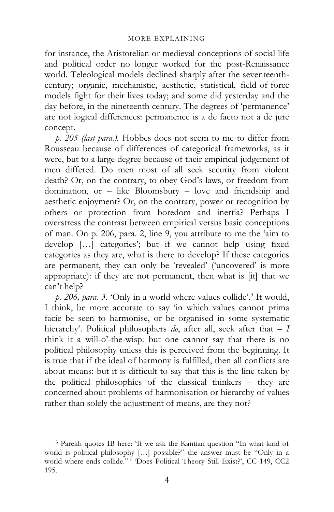for instance, the Aristotelian or medieval conceptions of social life and political order no longer worked for the post-Renaissance world. Teleological models declined sharply after the seventeenthcentury; organic, mechanistic, aesthetic, statistical, field-of-force models fight for their lives today; and some did yesterday and the day before, in the nineteenth century. The degrees of 'permanence' are not logical differences: permanence is a de facto not a de jure concept.

*p. 205 (last para.).* Hobbes does not seem to me to differ from Rousseau because of differences of categorical frameworks, as it were, but to a large degree because of their empirical judgement of men differed. Do men most of all seek security from violent death? Or, on the contrary, to obey God's laws, or freedom from domination, or – like Bloomsbury – love and friendship and aesthetic enjoyment? Or, on the contrary, power or recognition by others or protection from boredom and inertia? Perhaps I overstress the contrast between empirical versus basic conceptions of man. On p. 206, para. 2, line 9, you attribute to me the 'aim to develop […] categories'; but if we cannot help using fixed categories as they are, what is there to develop? If these categories are permanent, they can only be 'revealed' ('uncovered' is more appropriate): if they are not permanent, then what is [it] that we can't help?

*p. 206, para. 3.* 'Only in a world where values collide'.<sup>3</sup> It would, I think, be more accurate to say 'in which values cannot prima facie be seen to harmonise, or be organised in some systematic hierarchy'. Political philosophers *do*, after all, seek after that – *I* think it a will-o'-the-wisp: but one cannot say that there is no political philosophy unless this is perceived from the beginning. It is true that if the ideal of harmony is fulfilled, then all conflicts are about means: but it is difficult to say that this is the line taken by the political philosophies of the classical thinkers – they are concerned about problems of harmonisation or hierarchy of values rather than solely the adjustment of means, are they not?

<sup>3</sup> Parekh quotes IB here: 'If we ask the Kantian question "In what kind of world is political philosophy […] possible?" the answer must be "Only in a world where ends collide." ' 'Does Political Theory Still Exist?', CC 149, CC2 195.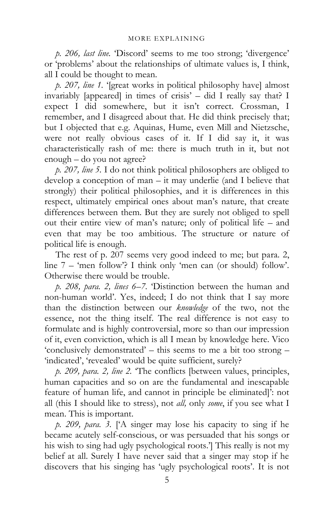*p. 206, last line.* 'Discord' seems to me too strong; 'divergence' or 'problems' about the relationships of ultimate values is, I think, all I could be thought to mean.

*p. 207, line 1.* '[great works in political philosophy have] almost invariably [appeared] in times of crisis' – did I really say that? I expect I did somewhere, but it isn't correct. Crossman, I remember, and I disagreed about that. He did think precisely that; but I objected that e.g. Aquinas, Hume, even Mill and Nietzsche, were not really obvious cases of it. If I did say it, it was characteristically rash of me: there is much truth in it, but not enough – do you not agree?

*p. 207, line 5.* I do not think political philosophers are obliged to develop a conception of man – it may underlie (and I believe that strongly) their political philosophies, and it is differences in this respect, ultimately empirical ones about man's nature, that create differences between them. But they are surely not obliged to spell out their entire view of man's nature; only of political life – and even that may be too ambitious. The structure or nature of political life is enough.

The rest of p. 207 seems very good indeed to me; but para. 2, line 7 – 'men follow'? I think only 'men can (or should) follow'. Otherwise there would be trouble.

*p. 208, para. 2, lines 6–7.* 'Distinction between the human and non-human world'. Yes, indeed; I do not think that I say more than the distinction between our *knowledge* of the two, not the essence, not the thing itself. The real difference is not easy to formulate and is highly controversial, more so than our impression of it, even conviction, which is all I mean by knowledge here. Vico 'conclusively demonstrated' – this seems to me a bit too strong – 'indicated', 'revealed' would be quite sufficient, surely?

*p. 209, para. 2, line 2.* 'The conflicts [between values, principles, human capacities and so on are the fundamental and inescapable feature of human life, and cannot in principle be eliminated]': not all (this I should like to stress), not *all,* only *some*, if you see what I mean. This is important.

*p. 209, para. 3.* ['A singer may lose his capacity to sing if he became acutely self-conscious, or was persuaded that his songs or his wish to sing had ugly psychological roots.'] This really is not my belief at all. Surely I have never said that a singer may stop if he discovers that his singing has 'ugly psychological roots'. It is not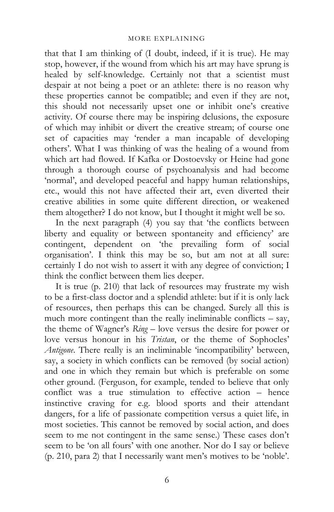that that I am thinking of (I doubt, indeed, if it is true). He may stop, however, if the wound from which his art may have sprung is healed by self-knowledge. Certainly not that a scientist must despair at not being a poet or an athlete: there is no reason why these properties cannot be compatible; and even if they are not, this should not necessarily upset one or inhibit one's creative activity. Of course there may be inspiring delusions, the exposure of which may inhibit or divert the creative stream; of course one set of capacities may 'render a man incapable of developing others'. What I was thinking of was the healing of a wound from which art had flowed. If Kafka or Dostoevsky or Heine had gone through a thorough course of psychoanalysis and had become 'normal', and developed peaceful and happy human relationships, etc., would this not have affected their art, even diverted their creative abilities in some quite different direction, or weakened them altogether? I do not know, but I thought it might well be so.

In the next paragraph (4) you say that 'the conflicts between liberty and equality or between spontaneity and efficiency' are contingent, dependent on 'the prevailing form of social organisation'. I think this may be so, but am not at all sure: certainly I do not wish to assert it with any degree of conviction; I think the conflict between them lies deeper.

It is true (p. 210) that lack of resources may frustrate my wish to be a first-class doctor and a splendid athlete: but if it is only lack of resources, then perhaps this can be changed. Surely all this is much more contingent than the really ineliminable conflicts – say, the theme of Wagner's *Ring* – love versus the desire for power or love versus honour in his *Tristan*, or the theme of Sophocles' *Antigone*. There really is an ineliminable 'incompatibility' between, say, a society in which conflicts can be removed (by social action) and one in which they remain but which is preferable on some other ground. (Ferguson, for example, tended to believe that only conflict was a true stimulation to effective action – hence instinctive craving for e.g. blood sports and their attendant dangers, for a life of passionate competition versus a quiet life, in most societies. This cannot be removed by social action, and does seem to me not contingent in the same sense.) These cases don't seem to be 'on all fours' with one another. Nor do I say or believe (p. 210, para 2) that I necessarily want men's motives to be 'noble'.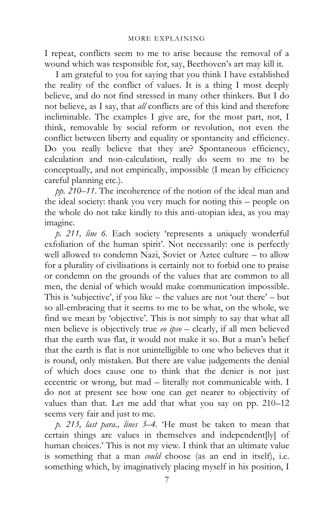I repeat, conflicts seem to me to arise because the removal of a wound which was responsible for, say, Beethoven's art may kill it.

I am grateful to you for saying that you think I have established the reality of the conflict of values. It is a thing I most deeply believe, and do not find stressed in many other thinkers. But I do not believe, as I say, that *all* conflicts are of this kind and therefore ineliminable. The examples I give are, for the most part, not, I think, removable by social reform or revolution, not even the conflict between liberty and equality or spontaneity and efficiency. Do you really believe that they are? Spontaneous efficiency, calculation and non-calculation, really do seem to me to be conceptually, and not empirically, impossible (I mean by efficiency careful planning etc.).

pp. 210–11. The incoherence of the notion of the ideal man and the ideal society: thank you very much for noting this – people on the whole do not take kindly to this anti-utopian idea, as you may imagine.

*p. 211, line 6.* Each society 'represents a uniquely wonderful exfoliation of the human spirit'. Not necessarily: one is perfectly well allowed to condemn Nazi, Soviet or Aztec culture – to allow for a plurality of civilisations is certainly not to forbid one to praise or condemn on the grounds of the values that are common to all men, the denial of which would make communication impossible. This is 'subjective', if you like – the values are not 'out there' – but so all-embracing that it seems to me to be what, on the whole, we find we mean by 'objective'. This is not simply to say that what all men believe is objectively true *eo ipso* – clearly, if all men believed that the earth was flat, it would not make it so. But a man's belief that the earth is flat is not unintelligible to one who believes that it is round, only mistaken. But there are value judgements the denial of which does cause one to think that the denier is not just eccentric or wrong, but mad – literally not communicable with. I do not at present see how one can get nearer to objectivity of values than that. Let me add that what you say on pp. 210–12 seems very fair and just to me.

*p. 213, last para., lines 3–4.* 'He must be taken to mean that certain things are values in themselves and independent[ly] of human choices.' This is not my view. I think that an ultimate value is something that a man *could* choose (as an end in itself), i.e. something which, by imaginatively placing myself in his position, I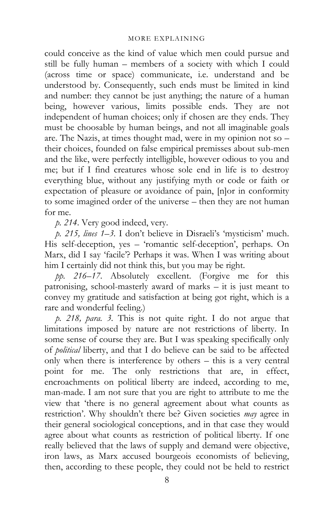could conceive as the kind of value which men could pursue and still be fully human – members of a society with which I could (across time or space) communicate, i.e. understand and be understood by. Consequently, such ends must be limited in kind and number: they cannot be just anything; the nature of a human being, however various, limits possible ends. They are not independent of human choices; only if chosen are they ends. They must be choosable by human beings, and not all imaginable goals are. The Nazis, at times thought mad, were in my opinion not so – their choices, founded on false empirical premisses about sub-men and the like, were perfectly intelligible, however odious to you and me; but if I find creatures whose sole end in life is to destroy everything blue, without any justifying myth or code or faith or expectation of pleasure or avoidance of pain, [n]or in conformity to some imagined order of the universe – then they are not human for me.

*p. 214*. Very good indeed, very.

*p. 215, lines 1–3.* I don't believe in Disraeli's 'mysticism' much. His self-deception, yes – 'romantic self-deception', perhaps. On Marx, did I say 'facile'? Perhaps it was. When I was writing about him I certainly did not think this, but you may be right.

*pp. 216–17*. Absolutely excellent. (Forgive me for this patronising, school-masterly award of marks – it is just meant to convey my gratitude and satisfaction at being got right, which is a rare and wonderful feeling.)

*p. 218, para. 3.* This is not quite right. I do not argue that limitations imposed by nature are not restrictions of liberty. In some sense of course they are. But I was speaking specifically only of *political* liberty, and that I do believe can be said to be affected only when there is interference by others – this is a very central point for me. The only restrictions that are, in effect, encroachments on political liberty are indeed, according to me, man-made. I am not sure that you are right to attribute to me the view that 'there is no general agreement about what counts as restriction'. Why shouldn't there be? Given societies *may* agree in their general sociological conceptions, and in that case they would agree about what counts as restriction of political liberty. If one really believed that the laws of supply and demand were objective, iron laws, as Marx accused bourgeois economists of believing, then, according to these people, they could not be held to restrict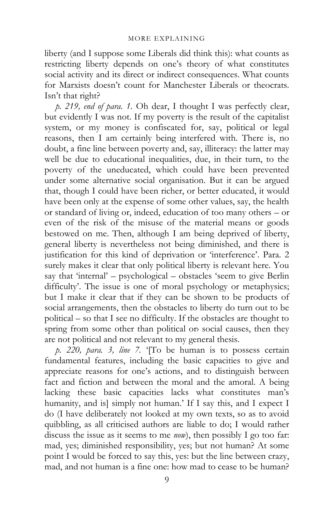liberty (and I suppose some Liberals did think this): what counts as restricting liberty depends on one's theory of what constitutes social activity and its direct or indirect consequences. What counts for Marxists doesn't count for Manchester Liberals or theocrats. Isn't that right?

*p. 219, end of para. 1.* Oh dear, I thought I was perfectly clear, but evidently I was not. If my poverty is the result of the capitalist system, or my money is confiscated for, say, political or legal reasons, then I am certainly being interfered with. There is, no doubt, a fine line between poverty and, say, illiteracy: the latter may well be due to educational inequalities, due, in their turn, to the poverty of the uneducated, which could have been prevented under some alternative social organisation. But it can be argued that, though I could have been richer, or better educated, it would have been only at the expense of some other values, say, the health or standard of living or, indeed, education of too many others – or even of the risk of the misuse of the material means or goods bestowed on me. Then, although I am being deprived of liberty, general liberty is nevertheless not being diminished, and there is justification for this kind of deprivation or 'interference'. Para. 2 surely makes it clear that only political liberty is relevant here. You say that 'internal' – psychological – obstacles 'seem to give Berlin difficulty'. The issue is one of moral psychology or metaphysics; but I make it clear that if they can be shown to be products of social arrangements, then the obstacles to liberty do turn out to be political – so that I see no difficulty. If the obstacles are thought to spring from some other than political or social causes, then they are not political and not relevant to my general thesis.

*p. 220, para. 3, line 7.* '[To be human is to possess certain fundamental features, including the basic capacities to give and appreciate reasons for one's actions, and to distinguish between fact and fiction and between the moral and the amoral. A being lacking these basic capacities lacks what constitutes man's humanity, and is] simply not human.' If I say this, and I expect I do (I have deliberately not looked at my own texts, so as to avoid quibbling, as all criticised authors are liable to do; I would rather discuss the issue as it seems to me *now*), then possibly I go too far: mad, yes; diminished responsibility, yes; but not human? At some point I would be forced to say this, yes: but the line between crazy, mad, and not human is a fine one: how mad to cease to be human?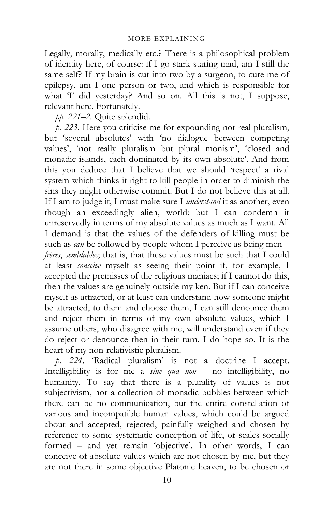Legally, morally, medically etc.? There is a philosophical problem of identity here, of course: if I go stark staring mad, am I still the same self? If my brain is cut into two by a surgeon, to cure me of epilepsy, am I one person or two, and which is responsible for what 'I' did yesterday? And so on. All this is not, I suppose, relevant here. Fortunately.

*pp. 221–2.* Quite splendid.

*p. 223*. Here you criticise me for expounding not real pluralism, but 'several absolutes' with 'no dialogue between competing values', 'not really pluralism but plural monism', 'closed and monadic islands, each dominated by its own absolute'. And from this you deduce that I believe that we should 'respect' a rival system which thinks it right to kill people in order to diminish the sins they might otherwise commit. But I do not believe this at all. If I am to judge it, I must make sure I *understand* it as another, even though an exceedingly alien, world: but I can condemn it unreservedly in terms of my absolute values as much as I want. All I demand is that the values of the defenders of killing must be such as *can* be followed by people whom I perceive as being men – *frères*, *semblables*; that is, that these values must be such that I could at least *conceive* myself as seeing their point if, for example, I accepted the premisses of the religious maniacs; if I cannot do this, then the values are genuinely outside my ken. But if I can conceive myself as attracted, or at least can understand how someone might be attracted, to them and choose them, I can still denounce them and reject them in terms of my own absolute values, which I assume others, who disagree with me, will understand even if they do reject or denounce then in their turn. I do hope so. It is the heart of my non-relativistic pluralism.

*p. 224*. 'Radical pluralism' is not a doctrine I accept. Intelligibility is for me a *sine qua non* – no intelligibility, no humanity. To say that there is a plurality of values is not subjectivism, nor a collection of monadic bubbles between which there can be no communication, but the entire constellation of various and incompatible human values, which could be argued about and accepted, rejected, painfully weighed and chosen by reference to some systematic conception of life, or scales socially formed – and yet remain 'objective'. In other words, I can conceive of absolute values which are not chosen by me, but they are not there in some objective Platonic heaven, to be chosen or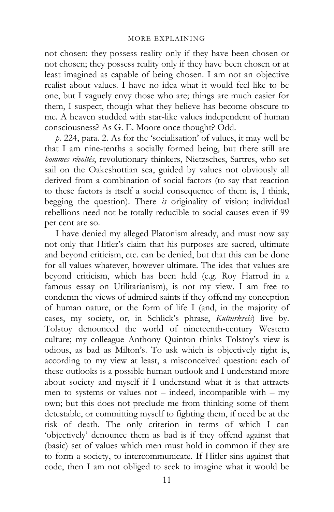not chosen: they possess reality only if they have been chosen or not chosen; they possess reality only if they have been chosen or at least imagined as capable of being chosen. I am not an objective realist about values. I have no idea what it would feel like to be one, but I vaguely envy those who are; things are much easier for them, I suspect, though what they believe has become obscure to me. A heaven studded with star-like values independent of human consciousness? As G. E. Moore once thought? Odd.

*p.* 224, para. 2. As for the 'socialisation' of values, it may well be that I am nine-tenths a socially formed being, but there still are *hommes révoltés*, revolutionary thinkers, Nietzsches, Sartres, who set sail on the Oakeshottian sea, guided by values not obviously all derived from a combination of social factors (to say that reaction to these factors is itself a social consequence of them is, I think, begging the question). There *is* originality of vision; individual rebellions need not be totally reducible to social causes even if 99 per cent are so.

I have denied my alleged Platonism already, and must now say not only that Hitler's claim that his purposes are sacred, ultimate and beyond criticism, etc. can be denied, but that this can be done for all values whatever, however ultimate. The idea that values are beyond criticism, which has been held (e.g. Roy Harrod in a famous essay on Utilitarianism), is not my view. I am free to condemn the views of admired saints if they offend my conception of human nature, or the form of life I (and, in the majority of cases, my society, or, in Schlick's phrase, *Kulturkreis*) live by. Tolstoy denounced the world of nineteenth-century Western culture; my colleague Anthony Quinton thinks Tolstoy's view is odious, as bad as Milton's. To ask which is objectively right is, according to my view at least, a misconceived question: each of these outlooks is a possible human outlook and I understand more about society and myself if I understand what it is that attracts men to systems or values not – indeed, incompatible with – my own; but this does not preclude me from thinking some of them detestable, or committing myself to fighting them, if need be at the risk of death. The only criterion in terms of which I can 'objectively' denounce them as bad is if they offend against that (basic) set of values which men must hold in common if they are to form a society, to intercommunicate. If Hitler sins against that code, then I am not obliged to seek to imagine what it would be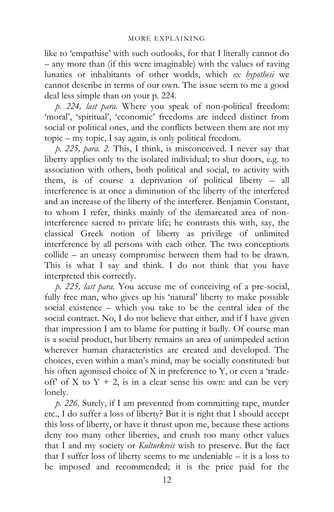like to 'empathise' with such outlooks, for that I literally cannot do – any more than (if this were imaginable) with the values of raving lunatics or inhabitants of other worlds, which *ex hypothesi* we cannot describe in terms of our own. The issue seem to me a good deal less simple than on your p. 224.

*p. 224, last para.* Where you speak of non-political freedom: 'moral', 'spiritual', 'economic' freedoms are indeed distinct from social or political ones, and the conflicts between them are not my topic – my topic, I say again, is only political freedom.

*p. 225, para. 2.* This, I think, is misconceived. I never say that liberty applies only to the isolated individual; to shut doors, e.g. to association with others, both political and social, to activity with them, is of course a deprivation of political liberty – all interference is at once a diminution of the liberty of the interfered and an increase of the liberty of the interferer. Benjamin Constant, to whom I refer, thinks mainly of the demarcated area of noninterference sacred to private life; he contrasts this with, say, the classical Greek notion of liberty as privilege of unlimited interference by all persons with each other. The two conceptions collide – an uneasy compromise between them had to be drawn. This is what I say and think. I do not think that you have interpreted this correctly.

*p. 225, last para.* You accuse me of conceiving of a pre-social, fully free man, who gives up his 'natural' liberty to make possible social existence – which you take to be the central idea of the social contract. No, I do not believe that either, and if I have given that impression I am to blame for putting it badly. Of course man is a social product, but liberty remains an area of unimpeded action wherever human characteristics are created and developed. The choices, even within a man's mind, may be socially constituted: but his often agonised choice of X in preference to Y, or even a 'tradeoff' of X to  $Y + 2$ , is in a clear sense his own: and can be very lonely.

*p. 226*. Surely, if I am prevented from committing rape, murder etc., I do suffer a loss of liberty? But it is right that I should accept this loss of liberty, or have it thrust upon me, because these actions deny too many other liberties, and crush too many other values that I and my society or *Kulturkreis* wish to preserve. But the fact that I suffer loss of liberty seems to me undeniable – it is a loss to be imposed and recommended; it is the price paid for the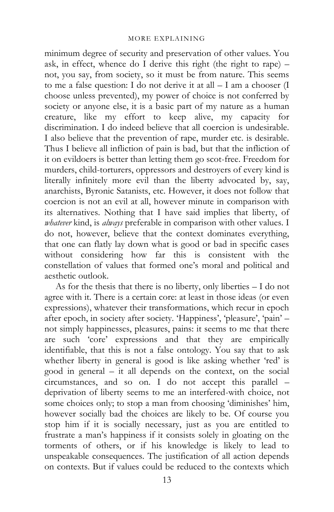minimum degree of security and preservation of other values. You ask, in effect, whence do I derive this right (the right to rape)  $$ not, you say, from society, so it must be from nature. This seems to me a false question: I do not derive it at all – I am a chooser (I choose unless prevented), my power of choice is not conferred by society or anyone else, it is a basic part of my nature as a human creature, like my effort to keep alive, my capacity for discrimination. I do indeed believe that all coercion is undesirable. I also believe that the prevention of rape, murder etc. is desirable. Thus I believe all infliction of pain is bad, but that the infliction of it on evildoers is better than letting them go scot-free. Freedom for murders, child-torturers, oppressors and destroyers of every kind is literally infinitely more evil than the liberty advocated by, say, anarchists, Byronic Satanists, etc. However, it does not follow that coercion is not an evil at all, however minute in comparison with its alternatives. Nothing that I have said implies that liberty, of *whatever* kind, is *always* preferable in comparison with other values. I do not, however, believe that the context dominates everything, that one can flatly lay down what is good or bad in specific cases without considering how far this is consistent with the constellation of values that formed one's moral and political and aesthetic outlook.

As for the thesis that there is no liberty, only liberties – I do not agree with it. There is a certain core: at least in those ideas (or even expressions), whatever their transformations, which recur in epoch after epoch, in society after society. 'Happiness', 'pleasure', 'pain' – not simply happinesses, pleasures, pains: it seems to me that there are such 'core' expressions and that they are empirically identifiable, that this is not a false ontology. You say that to ask whether liberty in general is good is like asking whether 'red' is good in general – it all depends on the context, on the social circumstances, and so on. I do not accept this parallel – deprivation of liberty seems to me an interfered-with choice, not some choices only; to stop a man from choosing 'diminishes' him, however socially bad the choices are likely to be. Of course you stop him if it is socially necessary, just as you are entitled to frustrate a man's happiness if it consists solely in gloating on the torments of others, or if his knowledge is likely to lead to unspeakable consequences. The justification of all action depends on contexts. But if values could be reduced to the contexts which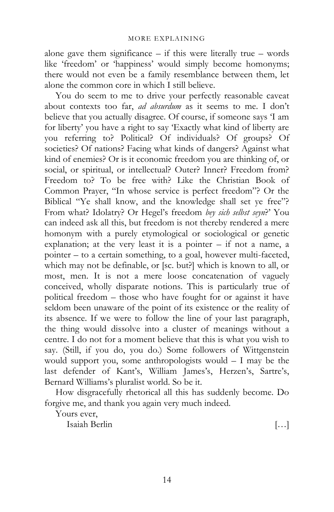alone gave them significance  $-$  if this were literally true  $-$  words like 'freedom' or 'happiness' would simply become homonyms; there would not even be a family resemblance between them, let alone the common core in which I still believe.

You do seem to me to drive your perfectly reasonable caveat about contexts too far, *ad absurdum* as it seems to me. I don't believe that you actually disagree. Of course, if someone says 'I am for liberty' you have a right to say 'Exactly what kind of liberty are you referring to? Political? Of individuals? Of groups? Of societies? Of nations? Facing what kinds of dangers? Against what kind of enemies? Or is it economic freedom you are thinking of, or social, or spiritual, or intellectual? Outer? Inner? Freedom from? Freedom to? To be free with? Like the Christian Book of Common Prayer, "In whose service is perfect freedom"? Or the Biblical "Ye shall know, and the knowledge shall set ye free"? From what? Idolatry? Or Hegel's freedom *bey sich selbst seyn*?' You can indeed ask all this, but freedom is not thereby rendered a mere homonym with a purely etymological or sociological or genetic explanation; at the very least it is a pointer – if not a name, a pointer – to a certain something, to a goal, however multi-faceted, which may not be definable, or [sc. but?] which is known to all, or most, men. It is not a mere loose concatenation of vaguely conceived, wholly disparate notions. This is particularly true of political freedom – those who have fought for or against it have seldom been unaware of the point of its existence or the reality of its absence. If we were to follow the line of your last paragraph, the thing would dissolve into a cluster of meanings without a centre. I do not for a moment believe that this is what you wish to say. (Still, if you do, you do.) Some followers of Wittgenstein would support you, some anthropologists would – I may be the last defender of Kant's, William James's, Herzen's, Sartre's, Bernard Williams's pluralist world. So be it.

How disgracefully rhetorical all this has suddenly become. Do forgive me, and thank you again very much indeed.

Yours ever,

Isaiah Berlin […]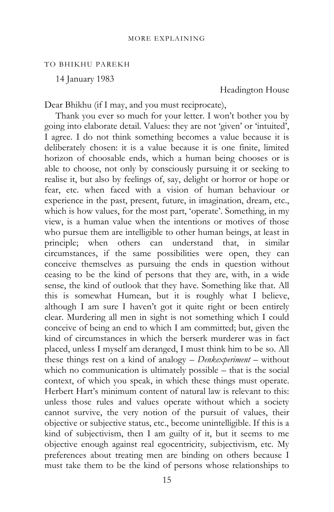### TO BHIKHU PAREKH

14 January 1983

Headington House

Dear Bhikhu (if I may, and you must reciprocate),

Thank you ever so much for your letter. I won't bother you by going into elaborate detail. Values: they are not 'given' or 'intuited', I agree. I do not think something becomes a value because it is deliberately chosen: it is a value because it is one finite, limited horizon of choosable ends, which a human being chooses or is able to choose, not only by consciously pursuing it or seeking to realise it, but also by feelings of, say, delight or horror or hope or fear, etc. when faced with a vision of human behaviour or experience in the past, present, future, in imagination, dream, etc., which is how values, for the most part, 'operate'. Something, in my view, is a human value when the intentions or motives of those who pursue them are intelligible to other human beings, at least in principle; when others can understand that, in similar circumstances, if the same possibilities were open, they can conceive themselves as pursuing the ends in question without ceasing to be the kind of persons that they are, with, in a wide sense, the kind of outlook that they have. Something like that. All this is somewhat Humean, but it is roughly what I believe, although I am sure I haven't got it quite right or been entirely clear. Murdering all men in sight is not something which I could conceive of being an end to which I am committed; but, given the kind of circumstances in which the berserk murderer was in fact placed, unless I myself am deranged, I must think him to be so. All these things rest on a kind of analogy – *Denkexperiment* – without which no communication is ultimately possible – that is the social context, of which you speak, in which these things must operate. Herbert Hart's minimum content of natural law is relevant to this: unless those rules and values operate without which a society cannot survive, the very notion of the pursuit of values, their objective or subjective status, etc., become unintelligible. If this is a kind of subjectivism, then I am guilty of it, but it seems to me objective enough against real egocentricity, subjectivism, etc. My preferences about treating men are binding on others because I must take them to be the kind of persons whose relationships to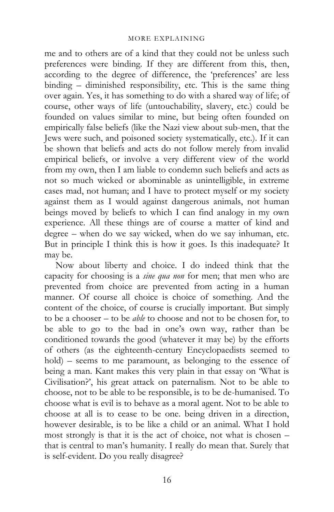me and to others are of a kind that they could not be unless such preferences were binding. If they are different from this, then, according to the degree of difference, the 'preferences' are less binding – diminished responsibility, etc. This is the same thing over again. Yes, it has something to do with a shared way of life; of course, other ways of life (untouchability, slavery, etc.) could be founded on values similar to mine, but being often founded on empirically false beliefs (like the Nazi view about sub-men, that the Jews were such, and poisoned society systematically, etc.). If it can be shown that beliefs and acts do not follow merely from invalid empirical beliefs, or involve a very different view of the world from my own, then I am liable to condemn such beliefs and acts as not so much wicked or abominable as unintelligible, in extreme cases mad, not human; and I have to protect myself or my society against them as I would against dangerous animals, not human beings moved by beliefs to which I can find analogy in my own experience. All these things are of course a matter of kind and degree – when do we say wicked, when do we say inhuman, etc. But in principle I think this is how it goes. Is this inadequate? It may be.

Now about liberty and choice. I do indeed think that the capacity for choosing is a *sine qua non* for men; that men who are prevented from choice are prevented from acting in a human manner. Of course all choice is choice of something. And the content of the choice, of course is crucially important. But simply to be a chooser – to be *able* to choose and not to be chosen for, to be able to go to the bad in one's own way, rather than be conditioned towards the good (whatever it may be) by the efforts of others (as the eighteenth-century Encyclopaedists seemed to hold) – seems to me paramount, as belonging to the essence of being a man. Kant makes this very plain in that essay on 'What is Civilisation?', his great attack on paternalism. Not to be able to choose, not to be able to be responsible, is to be de-humanised. To choose what is evil is to behave as a moral agent. Not to be able to choose at all is to cease to be one. being driven in a direction, however desirable, is to be like a child or an animal. What I hold most strongly is that it is the act of choice, not what is chosen – that is central to man's humanity. I really do mean that. Surely that is self-evident. Do you really disagree?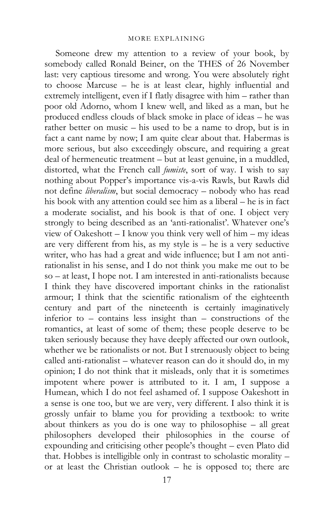Someone drew my attention to a review of your book, by somebody called Ronald Beiner, on the THES of 26 November last: very captious tiresome and wrong. You were absolutely right to choose Marcuse – he is at least clear, highly influential and extremely intelligent, even if I flatly disagree with him – rather than poor old Adorno, whom I knew well, and liked as a man, but he produced endless clouds of black smoke in place of ideas – he was rather better on music – his used to be a name to drop, but is in fact a cant name by now; I am quite clear about that. Habermas is more serious, but also exceedingly obscure, and requiring a great deal of hermeneutic treatment – but at least genuine, in a muddled, distorted, what the French call *fumiste*, sort of way. I wish to say nothing about Popper's importance vis-a-vis Rawls, but Rawls did not define *liberalism*, but social democracy – nobody who has read his book with any attention could see him as a liberal – he is in fact a moderate socialist, and his book is that of one. I object very strongly to being described as an 'anti-rationalist'. Whatever one's view of Oakeshott – I know you think very well of him – my ideas are very different from his, as my style is – he is a very seductive writer, who has had a great and wide influence; but I am not antirationalist in his sense, and I do not think you make me out to be so – at least, I hope not. I am interested in anti-rationalists because I think they have discovered important chinks in the rationalist armour; I think that the scientific rationalism of the eighteenth century and part of the nineteenth is certainly imaginatively inferior to – contains less insight than – constructions of the romantics, at least of some of them; these people deserve to be taken seriously because they have deeply affected our own outlook, whether we be rationalists or not. But I strenuously object to being called anti-rationalist – whatever reason can do it should do, in my opinion; I do not think that it misleads, only that it is sometimes impotent where power is attributed to it. I am, I suppose a Humean, which I do not feel ashamed of. I suppose Oakeshott in a sense is one too, but we are very, very different. I also think it is grossly unfair to blame you for providing a textbook: to write about thinkers as you do is one way to philosophise – all great philosophers developed their philosophies in the course of expounding and criticising other people's thought – even Plato did that. Hobbes is intelligible only in contrast to scholastic morality – or at least the Christian outlook – he is opposed to; there are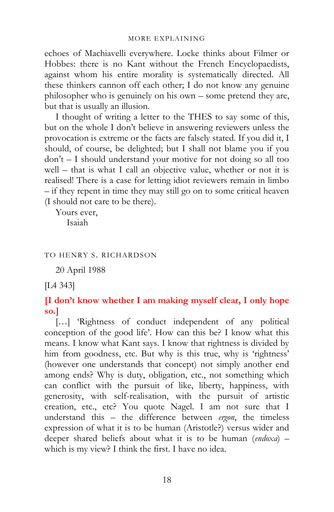echoes of Machiavelli everywhere. Locke thinks about Filmer or Hobbes: there is no Kant without the French Encyclopaedists, against whom his entire morality is systematically directed. All these thinkers cannon off each other; I do not know any genuine philosopher who is genuinely on his own – some pretend they are, but that is usually an illusion.

I thought of writing a letter to the THES to say some of this, but on the whole I don't believe in answering reviewers unless the provocation is extreme or the facts are falsely stated. If you did it, I should, of course, be delighted; but I shall not blame you if you don't – I should understand your motive for not doing so all too well – that is what I call an objective value, whether or not it is realised! There is a case for letting idiot reviewers remain in limbo – if they repent in time they may still go on to some critical heaven (I should not care to be there).

Yours ever, Isaiah

## TO HENRY S. RICHARDSON

20 April 1988

[L4 343]

## **[I don't know whether I am making myself clear, I only hope so.]**

[...] 'Rightness of conduct independent of any political conception of the good life'. How can this be? I know what this means. I know what Kant says. I know that rightness is divided by him from goodness, etc. But why is this true, why is 'rightness' (however one understands that concept) not simply another end among ends? Why is duty, obligation, etc., not something which can conflict with the pursuit of like, liberty, happiness, with generosity, with self-realisation, with the pursuit of artistic creation, etc., etc? You quote Nagel. I am not sure that I understand this – the difference between *ergon*, the timeless expression of what it is to be human (Aristotle?) versus wider and deeper shared beliefs about what it is to be human (*endoxa*) – which is my view? I think the first. I have no idea.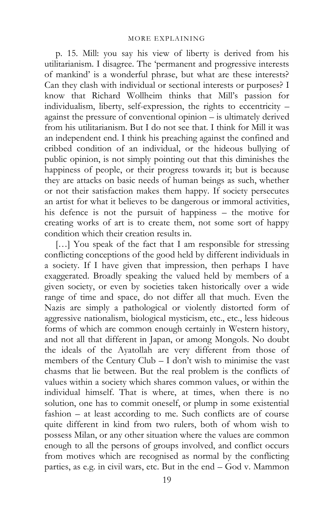p. 15. Mill: you say his view of liberty is derived from his utilitarianism. I disagree. The 'permanent and progressive interests of mankind' is a wonderful phrase, but what are these interests? Can they clash with individual or sectional interests or purposes? I know that Richard Wollheim thinks that Mill's passion for individualism, liberty, self-expression, the rights to eccentricity – against the pressure of conventional opinion – is ultimately derived from his utilitarianism. But I do not see that. I think for Mill it was an independent end. I think his preaching against the confined and cribbed condition of an individual, or the hideous bullying of public opinion, is not simply pointing out that this diminishes the happiness of people, or their progress towards it; but is because they are attacks on basic needs of human beings as such, whether or not their satisfaction makes them happy. If society persecutes an artist for what it believes to be dangerous or immoral activities, his defence is not the pursuit of happiness – the motive for creating works of art is to create them, not some sort of happy condition which their creation results in.

[...] You speak of the fact that I am responsible for stressing conflicting conceptions of the good held by different individuals in a society. If I have given that impression, then perhaps I have exaggerated. Broadly speaking the valued held by members of a given society, or even by societies taken historically over a wide range of time and space, do not differ all that much. Even the Nazis are simply a pathological or violently distorted form of aggressive nationalism, biological mysticism, etc., etc., less hideous forms of which are common enough certainly in Western history, and not all that different in Japan, or among Mongols. No doubt the ideals of the Ayatollah are very different from those of members of the Century Club – I don't wish to minimise the vast chasms that lie between. But the real problem is the conflicts of values within a society which shares common values, or within the individual himself. That is where, at times, when there is no solution, one has to commit oneself, or plump in some existential fashion – at least according to me. Such conflicts are of course quite different in kind from two rulers, both of whom wish to possess Milan, or any other situation where the values are common enough to all the persons of groups involved, and conflict occurs from motives which are recognised as normal by the conflicting parties, as e.g. in civil wars, etc. But in the end – God v. Mammon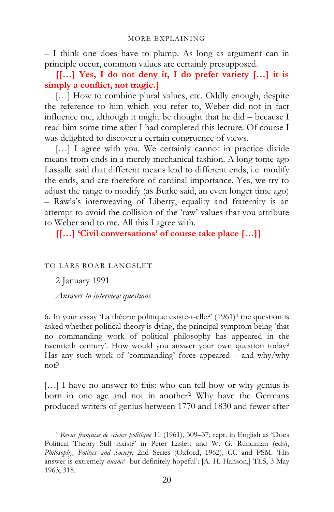– I think one does have to plump. As long as argument can in principle occur, common values are certainly presupposed.

**[[…] Yes, I do not deny it, I do prefer variety […] it is simply a conflict, not tragic.]**

[...] How to combine plural values, etc. Oddly enough, despite the reference to him which you refer to, Weber did not in fact influence me, although it might be thought that he did – because I read him some time after I had completed this lecture. Of course I was delighted to discover a certain congruence of views.

[...] I agree with you. We certainly cannot in practice divide means from ends in a merely mechanical fashion. A long tome ago Lassalle said that different means lead to different ends, i.e. modify the ends, and are therefore of cardinal importance. Yes, we try to adjust the range to modify (as Burke said, an even longer time ago) – Rawls's interweaving of Liberty, equality and fraternity is an attempt to avoid the collision of the 'raw' values that you attribute to Weber and to me. All this I agree with.

**[[…] 'Civil conversations' of course take place […]]**

TO LARS ROAR LANGSLET

2 January 1991

*Answers to interview questions*

6. In your essay 'La théorie politique existe-t-elle?' (1961)<sup>4</sup> the question is asked whether political theory is dying, the principal symptom being 'that no commanding work of political philosophy has appeared in the twentieth century'. How would you answer your own question today? Has any such work of 'commanding' force appeared – and why/why not?

[...] I have no answer to this: who can tell how or why genius is born in one age and not in another? Why have the Germans produced writers of genius between 1770 and 1830 and fewer after

<sup>4</sup> *Revue française de science politique* 11 (1961), 309–37; repr. in English as 'Does Political Theory Still Exist?' in Peter Laslett and W. G. Runciman (eds), *Philosophy, Politics and Society*, 2nd Series (Oxford, 1962), CC and PSM. 'His answer is extremely *nuancé* but definitely hopeful': [A. H. Hanson,] TLS, 3 May 1963, 318.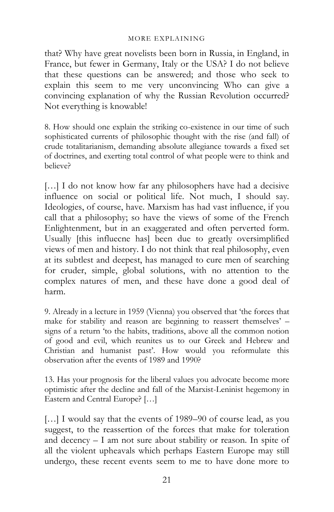that? Why have great novelists been born in Russia, in England, in France, but fewer in Germany, Italy or the USA? I do not believe that these questions can be answered; and those who seek to explain this seem to me very unconvincing Who can give a convincing explanation of why the Russian Revolution occurred? Not everything is knowable!

8. How should one explain the striking co-existence in our time of such sophisticated currents of philosophic thought with the rise (and fall) of crude totalitarianism, demanding absolute allegiance towards a fixed set of doctrines, and exerting total control of what people were to think and believe?

[...] I do not know how far any philosophers have had a decisive influence on social or political life. Not much, I should say. Ideologies, of course, have. Marxism has had vast influence, if you call that a philosophy; so have the views of some of the French Enlightenment, but in an exaggerated and often perverted form. Usually [this influecne has] been due to greatly oversimplified views of men and history. I do not think that real philosophy, even at its subtlest and deepest, has managed to cure men of searching for cruder, simple, global solutions, with no attention to the complex natures of men, and these have done a good deal of harm.

9. Already in a lecture in 1959 (Vienna) you observed that 'the forces that make for stability and reason are beginning to reassert themselves' – signs of a return 'to the habits, traditions, above all the common notion of good and evil, which reunites us to our Greek and Hebrew and Christian and humanist past'. How would you reformulate this observation after the events of 1989 and 1990?

13. Has your prognosis for the liberal values you advocate become more optimistic after the decline and fall of the Marxist-Leninist hegemony in Eastern and Central Europe? […]

[...] I would say that the events of 1989–90 of course lead, as you suggest, to the reassertion of the forces that make for toleration and decency – I am not sure about stability or reason. In spite of all the violent upheavals which perhaps Eastern Europe may still undergo, these recent events seem to me to have done more to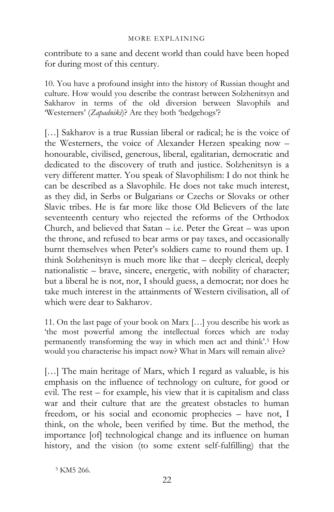contribute to a sane and decent world than could have been hoped for during most of this century.

10. You have a profound insight into the history of Russian thought and culture. How would you describe the contrast between Solzhenitsyn and Sakharov in terms of the old diversion between Slavophils and 'Westerners' (*Zapadniki*)? Are they both 'hedgehogs'?

[...] Sakharov is a true Russian liberal or radical; he is the voice of the Westerners, the voice of Alexander Herzen speaking now – honourable, civilised, generous, liberal, egalitarian, democratic and dedicated to the discovery of truth and justice. Solzhenitsyn is a very different matter. You speak of Slavophilism: I do not think he can be described as a Slavophile. He does not take much interest, as they did, in Serbs or Bulgarians or Czechs or Slovaks or other Slavic tribes. He is far more like those Old Believers of the late seventeenth century who rejected the reforms of the Orthodox Church, and believed that Satan – i.e. Peter the Great – was upon the throne, and refused to bear arms or pay taxes, and occasionally burnt themselves when Peter's soldiers came to round them up. I think Solzhenitsyn is much more like that – deeply clerical, deeply nationalistic – brave, sincere, energetic, with nobility of character; but a liberal he is not, nor, I should guess, a democrat; nor does he take much interest in the attainments of Western civilisation, all of which were dear to Sakharov.

11. On the last page of your book on Marx […] you describe his work as 'the most powerful among the intellectual forces which are today permanently transforming the way in which men act and think'.<sup>5</sup> How would you characterise his impact now? What in Marx will remain alive?

[...] The main heritage of Marx, which I regard as valuable, is his emphasis on the influence of technology on culture, for good or evil. The rest – for example, his view that it is capitalism and class war and their culture that are the greatest obstacles to human freedom, or his social and economic prophecies – have not, I think, on the whole, been verified by time. But the method, the importance [of] technological change and its influence on human history, and the vision (to some extent self-fulfilling) that the

<sup>5</sup> KM5 266.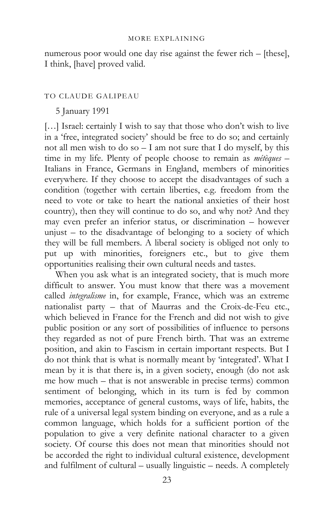numerous poor would one day rise against the fewer rich – [these], I think, [have] proved valid.

#### TO CLAUDE GALIPEAU

## 5 January 1991

[...] Israel: certainly I wish to say that those who don't wish to live in a 'free, integrated society' should be free to do so; and certainly not all men wish to do so – I am not sure that I do myself, by this time in my life. Plenty of people choose to remain as *métèques* – Italians in France, Germans in England, members of minorities everywhere. If they choose to accept the disadvantages of such a condition (together with certain liberties, e.g. freedom from the need to vote or take to heart the national anxieties of their host country), then they will continue to do so, and why not? And they may even prefer an inferior status, or discrimination – however unjust – to the disadvantage of belonging to a society of which they will be full members. A liberal society is obliged not only to put up with minorities, foreigners etc., but to give them opportunities realising their own cultural needs and tastes.

When you ask what is an integrated society, that is much more difficult to answer. You must know that there was a movement called *integralisme* in, for example, France, which was an extreme nationalist party – that of Maurras and the Croix-de-Feu etc., which believed in France for the French and did not wish to give public position or any sort of possibilities of influence to persons they regarded as not of pure French birth. That was an extreme position, and akin to Fascism in certain important respects. But I do not think that is what is normally meant by 'integrated'. What I mean by it is that there is, in a given society, enough (do not ask me how much – that is not answerable in precise terms) common sentiment of belonging, which in its turn is fed by common memories, acceptance of general customs, ways of life, habits, the rule of a universal legal system binding on everyone, and as a rule a common language, which holds for a sufficient portion of the population to give a very definite national character to a given society. Of course this does not mean that minorities should not be accorded the right to individual cultural existence, development and fulfilment of cultural – usually linguistic – needs. A completely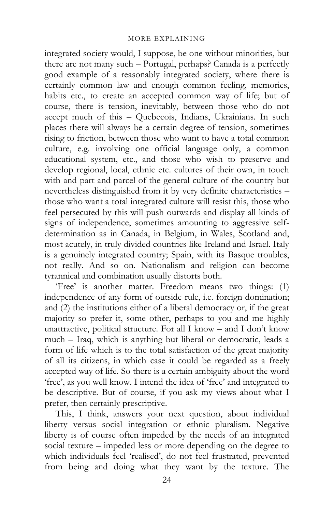integrated society would, I suppose, be one without minorities, but there are not many such – Portugal, perhaps? Canada is a perfectly good example of a reasonably integrated society, where there is certainly common law and enough common feeling, memories, habits etc., to create an accepted common way of life; but of course, there is tension, inevitably, between those who do not accept much of this – Quebecois, Indians, Ukrainians. In such places there will always be a certain degree of tension, sometimes rising to friction, between those who want to have a total common culture, e.g. involving one official language only, a common educational system, etc., and those who wish to preserve and develop regional, local, ethnic etc. cultures of their own, in touch with and part and parcel of the general culture of the country but nevertheless distinguished from it by very definite characteristics – those who want a total integrated culture will resist this, those who feel persecuted by this will push outwards and display all kinds of signs of independence, sometimes amounting to aggressive selfdetermination as in Canada, in Belgium, in Wales, Scotland and, most acutely, in truly divided countries like Ireland and Israel. Italy is a genuinely integrated country; Spain, with its Basque troubles, not really. And so on. Nationalism and religion can become tyrannical and combination usually distorts both.

'Free' is another matter. Freedom means two things: (1) independence of any form of outside rule, i.e. foreign domination; and (2) the institutions either of a liberal democracy or, if the great majority so prefer it, some other, perhaps to you and me highly unattractive, political structure. For all I know – and I don't know much – Iraq, which is anything but liberal or democratic, leads a form of life which is to the total satisfaction of the great majority of all its citizens, in which case it could be regarded as a freely accepted way of life. So there is a certain ambiguity about the word 'free', as you well know. I intend the idea of 'free' and integrated to be descriptive. But of course, if you ask my views about what I prefer, then certainly prescriptive.

This, I think, answers your next question, about individual liberty versus social integration or ethnic pluralism. Negative liberty is of course often impeded by the needs of an integrated social texture – impeded less or more depending on the degree to which individuals feel 'realised', do not feel frustrated, prevented from being and doing what they want by the texture. The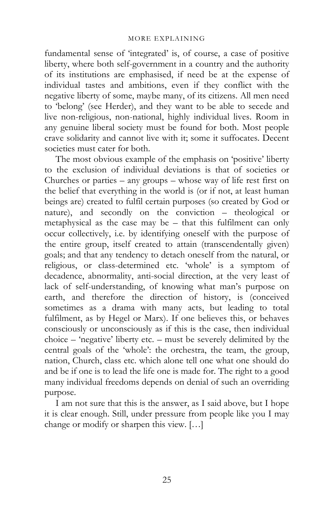fundamental sense of 'integrated' is, of course, a case of positive liberty, where both self-government in a country and the authority of its institutions are emphasised, if need be at the expense of individual tastes and ambitions, even if they conflict with the negative liberty of some, maybe many, of its citizens. All men need to 'belong' (see Herder), and they want to be able to secede and live non-religious, non-national, highly individual lives. Room in any genuine liberal society must be found for both. Most people crave solidarity and cannot live with it; some it suffocates. Decent societies must cater for both.

The most obvious example of the emphasis on 'positive' liberty to the exclusion of individual deviations is that of societies or Churches or parties – any groups – whose way of life rest first on the belief that everything in the world is (or if not, at least human beings are) created to fulfil certain purposes (so created by God or nature), and secondly on the conviction – theological or metaphysical as the case may be – that this fulfilment can only occur collectively, i.e. by identifying oneself with the purpose of the entire group, itself created to attain (transcendentally given) goals; and that any tendency to detach oneself from the natural, or religious, or class-determined etc. 'whole' is a symptom of decadence, abnormality, anti-social direction, at the very least of lack of self-understanding, of knowing what man's purpose on earth, and therefore the direction of history, is (conceived sometimes as a drama with many acts, but leading to total fulfilment, as by Hegel or Marx). If one believes this, or behaves consciously or unconsciously as if this is the case, then individual choice – 'negative' liberty etc. – must be severely delimited by the central goals of the 'whole': the orchestra, the team, the group, nation, Church, class etc. which alone tell one what one should do and be if one is to lead the life one is made for. The right to a good many individual freedoms depends on denial of such an overriding purpose.

I am not sure that this is the answer, as I said above, but I hope it is clear enough. Still, under pressure from people like you I may change or modify or sharpen this view. […]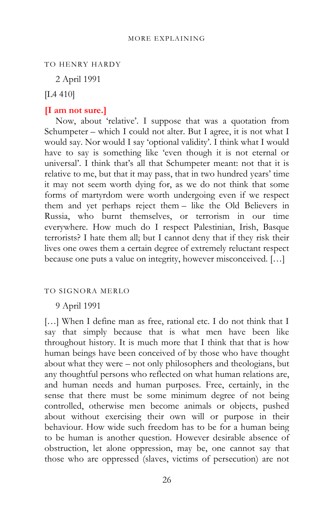## TO HENRY HARDY

2 April 1991

## [L4 410]

## **[I am not sure.]**

Now, about 'relative'. I suppose that was a quotation from Schumpeter – which I could not alter. But I agree, it is not what I would say. Nor would I say 'optional validity'. I think what I would have to say is something like 'even though it is not eternal or universal'. I think that's all that Schumpeter meant: not that it is relative to me, but that it may pass, that in two hundred years' time it may not seem worth dying for, as we do not think that some forms of martyrdom were worth undergoing even if we respect them and yet perhaps reject them – like the Old Believers in Russia, who burnt themselves, or terrorism in our time everywhere. How much do I respect Palestinian, Irish, Basque terrorists? I hate them all; but I cannot deny that if they risk their lives one owes them a certain degree of extremely reluctant respect because one puts a value on integrity, however misconceived. […]

## TO SIGNORA MERLO

9 April 1991

[...] When I define man as free, rational etc. I do not think that I say that simply because that is what men have been like throughout history. It is much more that I think that that is how human beings have been conceived of by those who have thought about what they were – not only philosophers and theologians, but any thoughtful persons who reflected on what human relations are, and human needs and human purposes. Free, certainly, in the sense that there must be some minimum degree of not being controlled, otherwise men become animals or objects, pushed about without exercising their own will or purpose in their behaviour. How wide such freedom has to be for a human being to be human is another question. However desirable absence of obstruction, let alone oppression, may be, one cannot say that those who are oppressed (slaves, victims of persecution) are not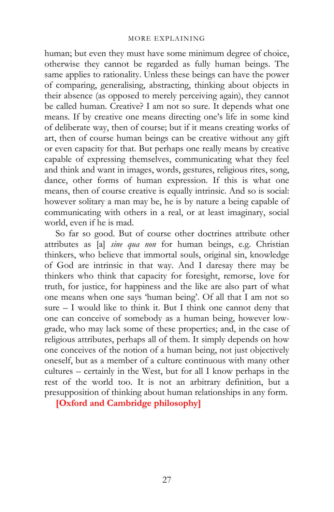human; but even they must have some minimum degree of choice, otherwise they cannot be regarded as fully human beings. The same applies to rationality. Unless these beings can have the power of comparing, generalising, abstracting, thinking about objects in their absence (as opposed to merely perceiving again), they cannot be called human. Creative? I am not so sure. It depends what one means. If by creative one means directing one's life in some kind of deliberate way, then of course; but if it means creating works of art, then of course human beings can be creative without any gift or even capacity for that. But perhaps one really means by creative capable of expressing themselves, communicating what they feel and think and want in images, words, gestures, religious rites, song, dance, other forms of human expression. If this is what one means, then of course creative is equally intrinsic. And so is social: however solitary a man may be, he is by nature a being capable of communicating with others in a real, or at least imaginary, social world, even if he is mad.

So far so good. But of course other doctrines attribute other attributes as [a] *sine qua non* for human beings, e.g. Christian thinkers, who believe that immortal souls, original sin, knowledge of God are intrinsic in that way. And I daresay there may be thinkers who think that capacity for foresight, remorse, love for truth, for justice, for happiness and the like are also part of what one means when one says 'human being'. Of all that I am not so sure – I would like to think it. But I think one cannot deny that one can conceive of somebody as a human being, however lowgrade, who may lack some of these properties; and, in the case of religious attributes, perhaps all of them. It simply depends on how one conceives of the notion of a human being, not just objectively oneself, but as a member of a culture continuous with many other cultures – certainly in the West, but for all I know perhaps in the rest of the world too. It is not an arbitrary definition, but a presupposition of thinking about human relationships in any form.

**[Oxford and Cambridge philosophy]**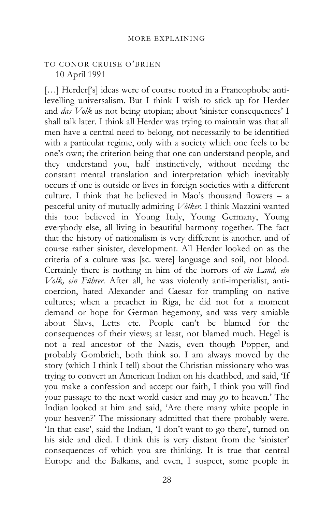## TO CONOR CRUISE O'BRIEN 10 April 1991

[...] Herder<sup>['s]</sup> ideas were of course rooted in a Francophobe antilevelling universalism. But I think I wish to stick up for Herder and *das Volk* as not being utopian; about 'sinister consequences' I shall talk later. I think all Herder was trying to maintain was that all men have a central need to belong, not necessarily to be identified with a particular regime, only with a society which one feels to be one's own; the criterion being that one can understand people, and they understand you, half instinctively, without needing the constant mental translation and interpretation which inevitably occurs if one is outside or lives in foreign societies with a different culture. I think that he believed in Mao's thousand flowers  $- a$ peaceful unity of mutually admiring *Völker*. I think Mazzini wanted this too: believed in Young Italy, Young Germany, Young everybody else, all living in beautiful harmony together. The fact that the history of nationalism is very different is another, and of course rather sinister, development. All Herder looked on as the criteria of a culture was [sc. were] language and soil, not blood. Certainly there is nothing in him of the horrors of *ein Land, ein Volk, ein Führer*. After all, he was violently anti-imperialist, anticoercion, hated Alexander and Caesar for trampling on native cultures; when a preacher in Riga, he did not for a moment demand or hope for German hegemony, and was very amiable about Slavs, Letts etc. People can't be blamed for the consequences of their views; at least, not blamed much. Hegel is not a real ancestor of the Nazis, even though Popper, and probably Gombrich, both think so. I am always moved by the story (which I think I tell) about the Christian missionary who was trying to convert an American Indian on his deathbed, and said, 'If you make a confession and accept our faith, I think you will find your passage to the next world easier and may go to heaven.' The Indian looked at him and said, 'Are there many white people in your heaven?' The missionary admitted that there probably were. 'In that case', said the Indian, 'I don't want to go there', turned on his side and died. I think this is very distant from the 'sinister' consequences of which you are thinking. It is true that central Europe and the Balkans, and even, I suspect, some people in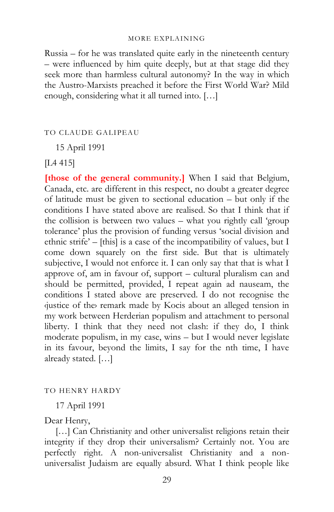Russia – for he was translated quite early in the nineteenth century – were influenced by him quite deeply, but at that stage did they seek more than harmless cultural autonomy? In the way in which the Austro-Marxists preached it before the First World War? Mild enough, considering what it all turned into. […]

## TO CLAUDE GALIPEAU

15 April 1991

[L4 415]

**[those of the general community.]** When I said that Belgium, Canada, etc. are different in this respect, no doubt a greater degree of latitude must be given to sectional education – but only if the conditions I have stated above are realised. So that I think that if the collision is between two values – what you rightly call 'group tolerance' plus the provision of funding versus 'social division and ethnic strife' – [this] is a case of the incompatibility of values, but I come down squarely on the first side. But that is ultimately subjective, I would not enforce it. I can only say that that is what I approve of, am in favour of, support – cultural pluralism can and should be permitted, provided, I repeat again ad nauseam, the conditions I stated above are preserved. I do not recognise the ‹justice of the› remark made by Kocis about an alleged tension in my work between Herderian populism and attachment to personal liberty. I think that they need not clash: if they do, I think moderate populism, in my case, wins – but I would never legislate in its favour, beyond the limits, I say for the nth time, I have already stated. […]

#### TO HENRY HARDY

17 April 1991

## Dear Henry,

[...] Can Christianity and other universalist religions retain their integrity if they drop their universalism? Certainly not. You are perfectly right. A non-universalist Christianity and a nonuniversalist Judaism are equally absurd. What I think people like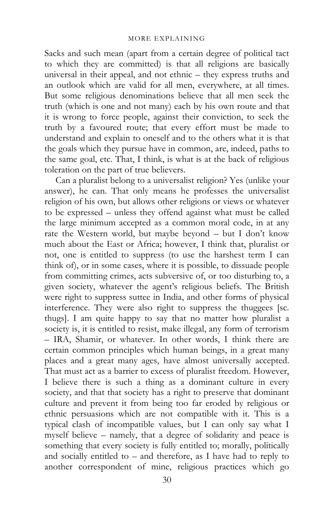Sacks and such mean (apart from a certain degree of political tact to which they are committed) is that all religions are basically universal in their appeal, and not ethnic – they express truths and an outlook which are valid for all men, everywhere, at all times. But some religious denominations believe that all men seek the truth (which is one and not many) each by his own route and that it is wrong to force people, against their conviction, to seek the truth by a favoured route; that every effort must be made to understand and explain to oneself and to the others what it is that the goals which they pursue have in common, are, indeed, paths to the same goal, etc. That, I think, is what is at the back of religious toleration on the part of true believers.

Can a pluralist belong to a universalist religion? Yes (unlike your answer), he can. That only means he professes the universalist religion of his own, but allows other religions or views or whatever to be expressed – unless they offend against what must be called the large minimum accepted as a common moral code, in at any rate the Western world, but maybe beyond – but I don't know much about the East or Africa; however, I think that, pluralist or not, one is entitled to suppress (to use the harshest term I can think of), or in some cases, where it is possible, to dissuade people from committing crimes, acts subversive of, or too disturbing to, a given society, whatever the agent's religious beliefs. The British were right to suppress suttee in India, and other forms of physical interference. They were also right to suppress the thuggees [sc. thugs]. I am quite happy to say that no matter how pluralist a society is, it is entitled to resist, make illegal, any form of terrorism – IRA, Shamir, or whatever. In other words, I think there are certain common principles which human beings, in a great many places and a great many ages, have almost universally accepted. That must act as a barrier to excess of pluralist freedom. However, I believe there is such a thing as a dominant culture in every society, and that that society has a right to preserve that dominant culture and prevent it from being too far eroded by religious or ethnic persuasions which are not compatible with it. This is a typical clash of incompatible values, but I can only say what I myself believe – namely, that a degree of solidarity and peace is something that every society is fully entitled to; morally, politically and socially entitled to – and therefore, as I have had to reply to another correspondent of mine, religious practices which go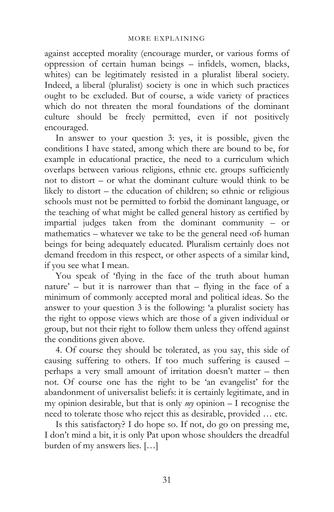against accepted morality (encourage murder, or various forms of oppression of certain human beings – infidels, women, blacks, whites) can be legitimately resisted in a pluralist liberal society. Indeed, a liberal (pluralist) society is one in which such practices ought to be excluded. But of course, a wide variety of practices which do not threaten the moral foundations of the dominant culture should be freely permitted, even if not positively encouraged.

In answer to your question 3: yes, it is possible, given the conditions I have stated, among which there are bound to be, for example in educational practice, the need to a curriculum which overlaps between various religions, ethnic etc. groups sufficiently not to distort – or what the dominant culture would think to be likely to distort – the education of children; so ethnic or religious schools must not be permitted to forbid the dominant language, or the teaching of what might be called general history as certified by impartial judges taken from the dominant community – or mathematics – whatever we take to be the general need <of human beings for being adequately educated. Pluralism certainly does not demand freedom in this respect, or other aspects of a similar kind, if you see what I mean.

You speak of 'flying in the face of the truth about human nature' – but it is narrower than that – flying in the face of a minimum of commonly accepted moral and political ideas. So the answer to your question 3 is the following: 'a pluralist society has the right to oppose views which are those of a given individual or group, but not their right to follow them unless they offend against the conditions given above.

4. Of course they should be tolerated, as you say, this side of causing suffering to others. If too much suffering is caused – perhaps a very small amount of irritation doesn't matter – then not. Of course one has the right to be 'an evangelist' for the abandonment of universalist beliefs: it is certainly legitimate, and in my opinion desirable, but that is only *my* opinion – I recognise the need to tolerate those who reject this as desirable, provided … etc.

Is this satisfactory? I do hope so. If not, do go on pressing me, I don't mind a bit, it is only Pat upon whose shoulders the dreadful burden of my answers lies. […]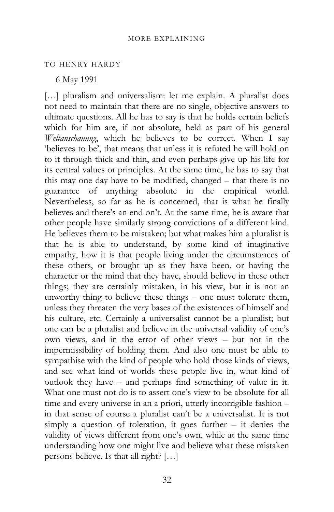#### TO HENRY HARDY

6 May 1991

[...] pluralism and universalism: let me explain. A pluralist does not need to maintain that there are no single, objective answers to ultimate questions. All he has to say is that he holds certain beliefs which for him are, if not absolute, held as part of his general *Weltanschauung*, which he believes to be correct. When I say 'believes to be', that means that unless it is refuted he will hold on to it through thick and thin, and even perhaps give up his life for its central values or principles. At the same time, he has to say that this may one day have to be modified, changed – that there is no guarantee of anything absolute in the empirical world. Nevertheless, so far as he is concerned, that is what he finally believes and there's an end on't. At the same time, he is aware that other people have similarly strong convictions of a different kind. He believes them to be mistaken; but what makes him a pluralist is that he is able to understand, by some kind of imaginative empathy, how it is that people living under the circumstances of these others, or brought up as they have been, or having the character or the mind that they have, should believe in these other things; they are certainly mistaken, in his view, but it is not an unworthy thing to believe these things – one must tolerate them, unless they threaten the very bases of the existences of himself and his culture, etc. Certainly a universalist cannot be a pluralist; but one can be a pluralist and believe in the universal validity of one's own views, and in the error of other views – but not in the impermissibility of holding them. And also one must be able to sympathise with the kind of people who hold those kinds of views, and see what kind of worlds these people live in, what kind of outlook they have – and perhaps find something of value in it. What one must not do is to assert one's view to be absolute for all time and every universe in an a priori, utterly incorrigible fashion – in that sense of course a pluralist can't be a universalist. It is not simply a question of toleration, it goes further – it denies the validity of views different from one's own, while at the same time understanding how one might live and believe what these mistaken persons believe. Is that all right? […]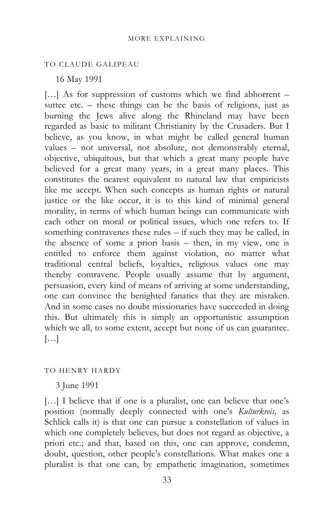## TO CLAUDE GALIPEAU

16 May 1991

[...] As for suppression of customs which we find abhorrent – suttee etc. – these things can be the basis of religions, just as burning the Jews alive along the Rhineland may have been regarded as basic to militant Christianity by the Crusaders. But I believe, as you know, in what might be called general human values – not universal, not absolute, not demonstrably eternal, objective, ubiquitous, but that which a great many people have believed for a great many years, in a great many places. This constitutes the nearest equivalent to natural law that empiricists like me accept. When such concepts as human rights or natural justice or the like occur, it is to this kind of minimal general morality, in terms of which human beings can communicate with each other on moral or political issues, which one refers to. If something contravenes these rules – if such they may be called, in the absence of some a priori basis – then, in my view, one is entitled to enforce them against violation, no matter what traditional central beliefs, loyalties, religious values one may thereby contravene. People usually assume that by argument, persuasion, every kind of means of arriving at some understanding, one can convince the benighted fanatics that they are mistaken. And in some cases no doubt missionaries have succeeded in doing this. But ultimately this is simply an opportunistic assumption which we all, to some extent, accept but none of us can guarantee.  $\left[\ldots\right]$ 

## TO HENRY HARDY

3 June 1991

[...] I believe that if one is a pluralist, one can believe that one's position (normally deeply connected with one's *Kulturkreis,* as Schlick calls it) is that one can pursue a constellation of values in which one completely believes, but does not regard as objective, a priori etc.; and that, based on this, one can approve, condemn, doubt, question, other people's constellations. What makes one a pluralist is that one can, by empathetic imagination, sometimes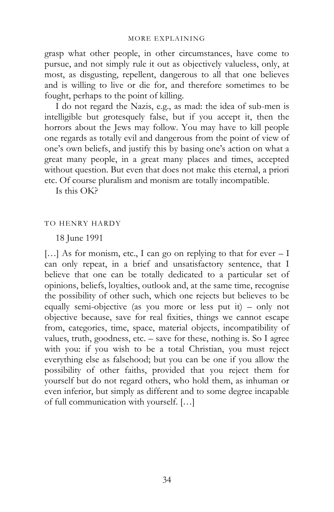grasp what other people, in other circumstances, have come to pursue, and not simply rule it out as objectively valueless, only, at most, as disgusting, repellent, dangerous to all that one believes and is willing to live or die for, and therefore sometimes to be fought, perhaps to the point of killing.

I do not regard the Nazis, e.g., as mad: the idea of sub-men is intelligible but grotesquely false, but if you accept it, then the horrors about the Jews may follow. You may have to kill people one regards as totally evil and dangerous from the point of view of one's own beliefs, and justify this by basing one's action on what a great many people, in a great many places and times, accepted without question. But even that does not make this eternal, a priori etc. Of course pluralism and monism are totally incompatible.

Is this OK?

## TO HENRY HARDY

18 June 1991

 $[...]$  As for monism, etc., I can go on replying to that for ever  $- I$ can only repeat, in a brief and unsatisfactory sentence, that I believe that one can be totally dedicated to a particular set of opinions, beliefs, loyalties, outlook and, at the same time, recognise the possibility of other such, which one rejects but believes to be equally semi-objective (as you more or less put it) – only not objective because, save for real fixities, things we cannot escape from, categories, time, space, material objects, incompatibility of values, truth, goodness, etc. – save for these, nothing is. So I agree with you: if you wish to be a total Christian, you must reject everything else as falsehood; but you can be one if you allow the possibility of other faiths, provided that you reject them for yourself but do not regard others, who hold them, as inhuman or even inferior, but simply as different and to some degree incapable of full communication with yourself. […]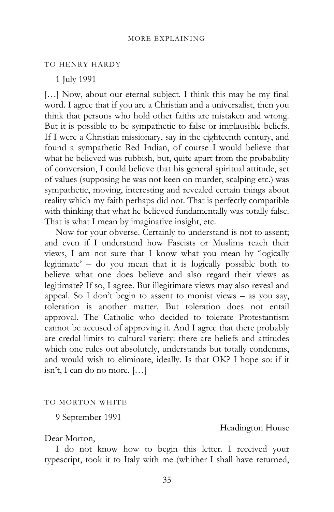### TO HENRY HARDY

1 July 1991

[...] Now, about our eternal subject. I think this may be my final word. I agree that if you are a Christian and a universalist, then you think that persons who hold other faiths are mistaken and wrong. But it is possible to be sympathetic to false or implausible beliefs. If I were a Christian missionary, say in the eighteenth century, and found a sympathetic Red Indian, of course I would believe that what he believed was rubbish, but, quite apart from the probability of conversion, I could believe that his general spiritual attitude, set of values (supposing he was not keen on murder, scalping etc.) was sympathetic, moving, interesting and revealed certain things about reality which my faith perhaps did not. That is perfectly compatible with thinking that what he believed fundamentally was totally false. That is what I mean by imaginative insight, etc.

Now for your obverse. Certainly to understand is not to assent; and even if I understand how Fascists or Muslims reach their views, I am not sure that I know what you mean by 'logically legitimate' – do you mean that it is logically possible both to believe what one does believe and also regard their views as legitimate? If so, I agree. But illegitimate views may also reveal and appeal. So I don't begin to assent to monist views – as you say, toleration is another matter. But toleration does not entail approval. The Catholic who decided to tolerate Protestantism cannot be accused of approving it. And I agree that there probably are credal limits to cultural variety: there are beliefs and attitudes which one rules out absolutely, understands but totally condemns, and would wish to eliminate, ideally. Is that OK? I hope so: if it isn't, I can do no more. […]

#### TO MORTON WHITE

9 September 1991

Headington House

Dear Morton,

I do not know how to begin this letter. I received your typescript, took it to Italy with me (whither I shall have returned,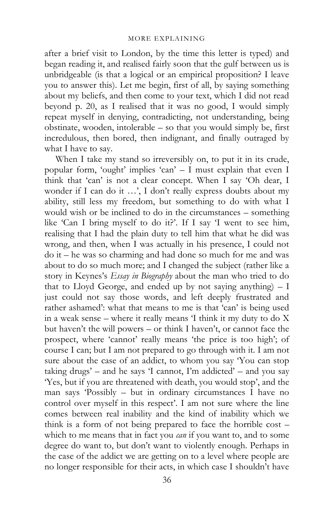after a brief visit to London, by the time this letter is typed) and began reading it, and realised fairly soon that the gulf between us is unbridgeable (is that a logical or an empirical proposition? I leave you to answer this). Let me begin, first of all, by saying something about my beliefs, and then come to your text, which I did not read beyond p. 20, as I realised that it was no good, I would simply repeat myself in denying, contradicting, not understanding, being obstinate, wooden, intolerable – so that you would simply be, first incredulous, then bored, then indignant, and finally outraged by what I have to say.

When I take my stand so irreversibly on, to put it in its crude, popular form, 'ought' implies 'can' – I must explain that even I think that 'can' is not a clear concept. When I say 'Oh dear, I wonder if I can do it …', I don't really express doubts about my ability, still less my freedom, but something to do with what I would wish or be inclined to do in the circumstances – something like 'Can I bring myself to do it?'. If I say 'I went to see him, realising that I had the plain duty to tell him that what he did was wrong, and then, when I was actually in his presence, I could not do it – he was so charming and had done so much for me and was about to do so much more; and I changed the subject (rather like a story in Keynes's *Essay in Biography* about the man who tried to do that to Lloyd George, and ended up by not saying anything)  $-1$ just could not say those words, and left deeply frustrated and rather ashamed': what that means to me is that 'can' is being used in a weak sense – where it really means 'I think it my duty to do X but haven't the will powers – or think I haven't, or cannot face the prospect, where 'cannot' really means 'the price is too high'; of course I can; but I am not prepared to go through with it. I am not sure about the case of an addict, to whom you say 'You can stop taking drugs' – and he says 'I cannot, I'm addicted' – and you say 'Yes, but if you are threatened with death, you would stop', and the man says 'Possibly – but in ordinary circumstances I have no control over myself in this respect'. I am not sure where the line comes between real inability and the kind of inability which we think is a form of not being prepared to face the horrible cost – which to me means that in fact you *can* if you want to, and to some degree do want to, but don't want to violently enough. Perhaps in the case of the addict we are getting on to a level where people are no longer responsible for their acts, in which case I shouldn't have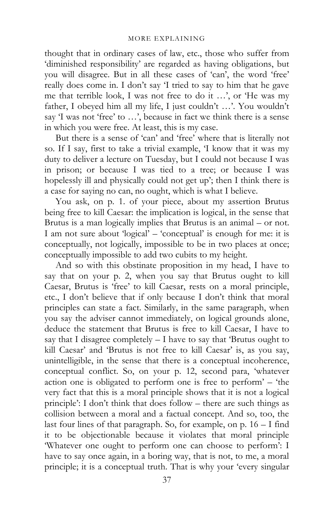thought that in ordinary cases of law, etc., those who suffer from 'diminished responsibility' are regarded as having obligations, but you will disagree. But in all these cases of 'can', the word 'free' really does come in. I don't say 'I tried to say to him that he gave me that terrible look, I was not free to do it …', or 'He was my father, I obeyed him all my life, I just couldn't …'. You wouldn't say 'I was not 'free' to …', because in fact we think there is a sense in which you were free. At least, this is my case.

But there is a sense of 'can' and 'free' where that is literally not so. If I say, first to take a trivial example, 'I know that it was my duty to deliver a lecture on Tuesday, but I could not because I was in prison; or because I was tied to a tree; or because I was hopelessly ill and physically could not get up'; then I think there is a case for saying no can, no ought, which is what I believe.

You ask, on p. 1. of your piece, about my assertion Brutus being free to kill Caesar: the implication is logical, in the sense that Brutus is a man logically implies that Brutus is an animal – or not. I am not sure about 'logical' – 'conceptual' is enough for me: it is conceptually, not logically, impossible to be in two places at once; conceptually impossible to add two cubits to my height.

And so with this obstinate proposition in my head, I have to say that on your p. 2, when you say that Brutus ought to kill Caesar, Brutus is 'free' to kill Caesar, rests on a moral principle, etc., I don't believe that if only because I don't think that moral principles can state a fact. Similarly, in the same paragraph, when you say the adviser cannot immediately, on logical grounds alone, deduce the statement that Brutus is free to kill Caesar, I have to say that I disagree completely – I have to say that 'Brutus ought to kill Caesar' and 'Brutus is not free to kill Caesar' is, as you say, unintelligible, in the sense that there is a conceptual incoherence, conceptual conflict. So, on your p. 12, second para, 'whatever action one is obligated to perform one is free to perform' – 'the very fact that this is a moral principle shows that it is not a logical principle': I don't think that does follow – there are such things as collision between a moral and a factual concept. And so, too, the last four lines of that paragraph. So, for example, on p. 16 – I find it to be objectionable because it violates that moral principle 'Whatever one ought to perform one can choose to perform': I have to say once again, in a boring way, that is not, to me, a moral principle; it is a conceptual truth. That is why your 'every singular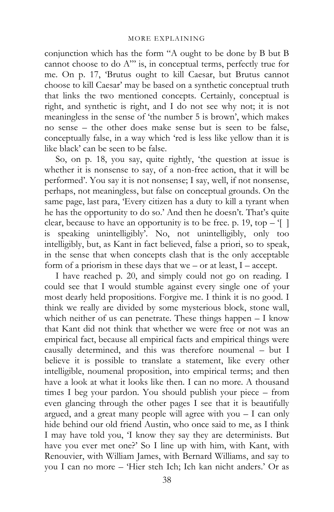conjunction which has the form "A ought to be done by B but B cannot choose to do A"' is, in conceptual terms, perfectly true for me. On p. 17, 'Brutus ought to kill Caesar, but Brutus cannot choose to kill Caesar' may be based on a synthetic conceptual truth that links the two mentioned concepts. Certainly, conceptual is right, and synthetic is right, and I do not see why not; it is not meaningless in the sense of 'the number 5 is brown', which makes no sense – the other does make sense but is seen to be false, conceptually false, in a way which 'red is less like yellow than it is like black' can be seen to be false.

So, on p. 18, you say, quite rightly, 'the question at issue is whether it is nonsense to say, of a non-free action, that it will be performed'. You say it is not nonsense; I say, well, if not nonsense, perhaps, not meaningless, but false on conceptual grounds. On the same page, last para, 'Every citizen has a duty to kill a tyrant when he has the opportunity to do so.' And then he doesn't. That's quite clear, because to have an opportunity is to be free. p. 19, top  $-$  '[ ] is speaking unintelligibly'. No, not unintelligibly, only too intelligibly, but, as Kant in fact believed, false a priori, so to speak, in the sense that when concepts clash that is the only acceptable form of a priorism in these days that we – or at least,  $I$  – accept.

I have reached p. 20, and simply could not go on reading. I could see that I would stumble against every single one of your most dearly held propositions. Forgive me. I think it is no good. I think we really are divided by some mysterious block, stone wall, which neither of us can penetrate. These things happen – I know that Kant did not think that whether we were free or not was an empirical fact, because all empirical facts and empirical things were causally determined, and this was therefore noumenal – but I believe it is possible to translate a statement, like every other intelligible, noumenal proposition, into empirical terms; and then have a look at what it looks like then. I can no more. A thousand times I beg your pardon. You should publish your piece – from even glancing through the other pages I see that it is beautifully argued, and a great many people will agree with you – I can only hide behind our old friend Austin, who once said to me, as I think I may have told you, 'I know they say they are determinists. But have you ever met one?' So I line up with him, with Kant, with Renouvier, with William James, with Bernard Williams, and say to you I can no more – 'Hier steh Ich; Ich kan nicht anders.' Or as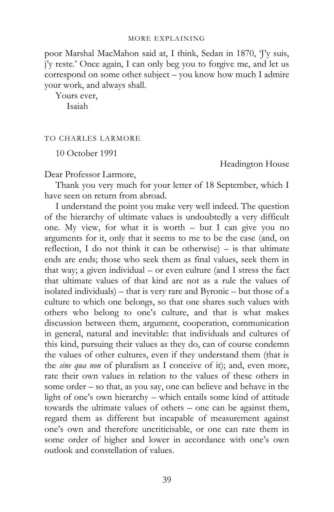poor Marshal MacMahon said at, I think, Sedan in 1870, 'J'y suis, j'y reste.' Once again, I can only beg you to forgive me, and let us correspond on some other subject – you know how much I admire your work, and always shall.

Yours ever, Isaiah

TO CHARLES LARMORE

10 October 1991

Headington House

Dear Professor Larmore,

Thank you very much for your letter of 18 September, which I have seen on return from abroad.

I understand the point you make very well indeed. The question of the hierarchy of ultimate values is undoubtedly a very difficult one. My view, for what it is worth – but I can give you no arguments for it, only that it seems to me to be the case (and, on reflection, I do not think it can be otherwise) – is that ultimate ends are ends; those who seek them as final values, seek them in that way; a given individual – or even culture (and I stress the fact that ultimate values of that kind are not as a rule the values of isolated individuals) – that is very rare and Byronic – but those of a culture to which one belongs, so that one shares such values with others who belong to one's culture, and that is what makes discussion between them, argument, cooperation, communication in general, natural and inevitable: that individuals and cultures of this kind, pursuing their values as they do, can of course condemn the values of other cultures, even if they understand them (that is the *sine qua non* of pluralism as I conceive of it); and, even more, rate their own values in relation to the values of these others in some order – so that, as you say, one can believe and behave in the light of one's own hierarchy – which entails some kind of attitude towards the ultimate values of others – one can be against them, regard them as different but incapable of measurement against one's own and therefore uncriticisable, or one can rate them in some order of higher and lower in accordance with one's own outlook and constellation of values.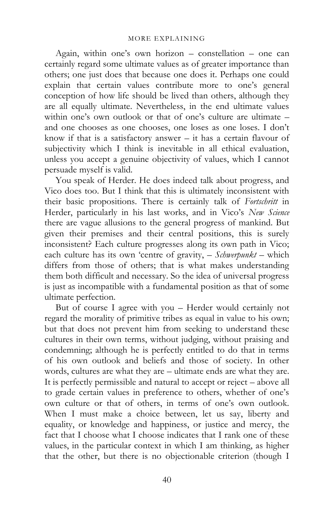Again, within one's own horizon – constellation – one can certainly regard some ultimate values as of greater importance than others; one just does that because one does it. Perhaps one could explain that certain values contribute more to one's general conception of how life should be lived than others, although they are all equally ultimate. Nevertheless, in the end ultimate values within one's own outlook or that of one's culture are ultimate – and one chooses as one chooses, one loses as one loses. I don't know if that is a satisfactory answer – it has a certain flavour of subjectivity which I think is inevitable in all ethical evaluation, unless you accept a genuine objectivity of values, which I cannot persuade myself is valid.

You speak of Herder. He does indeed talk about progress, and Vico does too. But I think that this is ultimately inconsistent with their basic propositions. There is certainly talk of *Fortschritt* in Herder, particularly in his last works, and in Vico's *New Science* there are vague allusions to the general progress of mankind. But given their premises and their central positions, this is surely inconsistent? Each culture progresses along its own path in Vico; each culture has its own 'centre of gravity, – *Schwerpunkt* – which differs from those of others; that is what makes understanding them both difficult and necessary. So the idea of universal progress is just as incompatible with a fundamental position as that of some ultimate perfection.

But of course I agree with you – Herder would certainly not regard the morality of primitive tribes as equal in value to his own; but that does not prevent him from seeking to understand these cultures in their own terms, without judging, without praising and condemning; although he is perfectly entitled to do that in terms of his own outlook and beliefs and those of society. In other words, cultures are what they are – ultimate ends are what they are. It is perfectly permissible and natural to accept or reject – above all to grade certain values in preference to others, whether of one's own culture or that of others, in terms of one's own outlook. When I must make a choice between, let us say, liberty and equality, or knowledge and happiness, or justice and mercy, the fact that I choose what I choose indicates that I rank one of these values, in the particular context in which I am thinking, as higher that the other, but there is no objectionable criterion (though I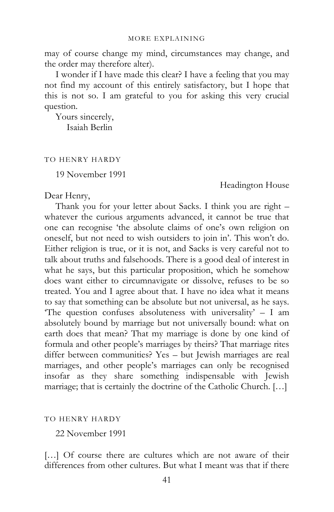may of course change my mind, circumstances may change, and the order may therefore alter).

I wonder if I have made this clear? I have a feeling that you may not find my account of this entirely satisfactory, but I hope that this is not so. I am grateful to you for asking this very crucial question.

Yours sincerely, Isaiah Berlin

TO HENRY HARDY

19 November 1991

### Headington House

Dear Henry,

Thank you for your letter about Sacks. I think you are right – whatever the curious arguments advanced, it cannot be true that one can recognise 'the absolute claims of one's own religion on oneself, but not need to wish outsiders to join in'. This won't do. Either religion is true, or it is not, and Sacks is very careful not to talk about truths and falsehoods. There is a good deal of interest in what he says, but this particular proposition, which he somehow does want either to circumnavigate or dissolve, refuses to be so treated. You and I agree about that. I have no idea what it means to say that something can be absolute but not universal, as he says. 'The question confuses absoluteness with universality' – I am absolutely bound by marriage but not universally bound: what on earth does that mean? That my marriage is done by one kind of formula and other people's marriages by theirs? That marriage rites differ between communities? Yes – but Jewish marriages are real marriages, and other people's marriages can only be recognised insofar as they share something indispensable with Jewish marriage; that is certainly the doctrine of the Catholic Church. […]

### TO HENRY HARDY

22 November 1991

[...] Of course there are cultures which are not aware of their differences from other cultures. But what I meant was that if there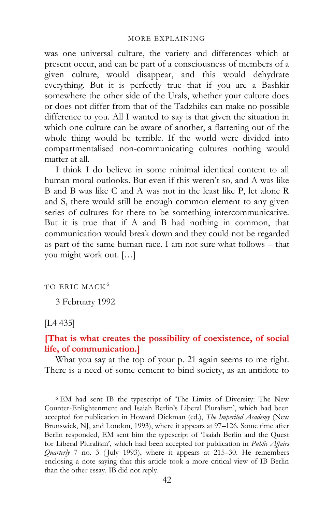was one universal culture, the variety and differences which at present occur, and can be part of a consciousness of members of a given culture, would disappear, and this would dehydrate everything. But it is perfectly true that if you are a Bashkir somewhere the other side of the Urals, whether your culture does or does not differ from that of the Tadzhiks can make no possible difference to you. All I wanted to say is that given the situation in which one culture can be aware of another, a flattening out of the whole thing would be terrible. If the world were divided into compartmentalised non-communicating cultures nothing would matter at all.

I think I do believe in some minimal identical content to all human moral outlooks. But even if this weren't so, and A was like B and B was like C and A was not in the least like P, let alone R and S, there would still be enough common element to any given series of cultures for there to be something intercommunicative. But it is true that if A and B had nothing in common, that communication would break down and they could not be regarded as part of the same human race. I am not sure what follows – that you might work out. […]

## TO ERIC MACK<sup>6</sup>

3 February 1992

#### [L4 435]

# **[That is what creates the possibility of coexistence, of social life, of communication.]**

What you say at the top of your p. 21 again seems to me right. There is a need of some cement to bind society, as an antidote to

<sup>6</sup> EM had sent IB the typescript of 'The Limits of Diversity: The New Counter-Enlightenment and Isaiah Berlin's Liberal Pluralism', which had been accepted for publication in Howard Dickman (ed.), *The Imperiled Academy* (New Brunswick, NJ, and London, 1993), where it appears at 97–126. Some time after Berlin responded, EM sent him the typescript of 'Isaiah Berlin and the Quest for Liberal Pluralism', which had been accepted for publication in *Public Affairs Quarterly* 7 no. 3 ( July 1993), where it appears at 215–30. He remembers enclosing a note saying that this article took a more critical view of IB Berlin than the other essay. IB did not reply.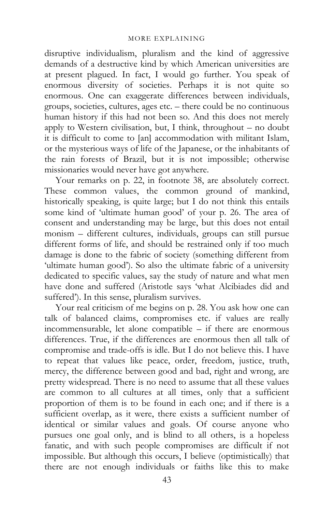disruptive individualism, pluralism and the kind of aggressive demands of a destructive kind by which American universities are at present plagued. In fact, I would go further. You speak of enormous diversity of societies. Perhaps it is not quite so enormous. One can exaggerate differences between individuals, groups, societies, cultures, ages etc. – there could be no continuous human history if this had not been so. And this does not merely apply to Western civilisation, but, I think, throughout – no doubt it is difficult to come to [an] accommodation with militant Islam, or the mysterious ways of life of the Japanese, or the inhabitants of the rain forests of Brazil, but it is not impossible; otherwise missionaries would never have got anywhere.

Your remarks on p. 22, in footnote 38, are absolutely correct. These common values, the common ground of mankind, historically speaking, is quite large; but I do not think this entails some kind of 'ultimate human good' of your p. 26. The area of consent and understanding may be large, but this does not entail monism – different cultures, individuals, groups can still pursue different forms of life, and should be restrained only if too much damage is done to the fabric of society (something different from 'ultimate human good'). So also the ultimate fabric of a university dedicated to specific values, say the study of nature and what men have done and suffered (Aristotle says 'what Alcibiades did and suffered'). In this sense, pluralism survives.

Your real criticism of me begins on p. 28. You ask how one can talk of balanced claims, compromises etc. if values are really incommensurable, let alone compatible – if there are enormous differences. True, if the differences are enormous then all talk of compromise and trade-offs is idle. But I do not believe this. I have to repeat that values like peace, order, freedom, justice, truth, mercy, the difference between good and bad, right and wrong, are pretty widespread. There is no need to assume that all these values are common to all cultures at all times, only that a sufficient proportion of them is to be found in each one; and if there is a sufficient overlap, as it were, there exists a sufficient number of identical or similar values and goals. Of course anyone who pursues one goal only, and is blind to all others, is a hopeless fanatic, and with such people compromises are difficult if not impossible. But although this occurs, I believe (optimistically) that there are not enough individuals or faiths like this to make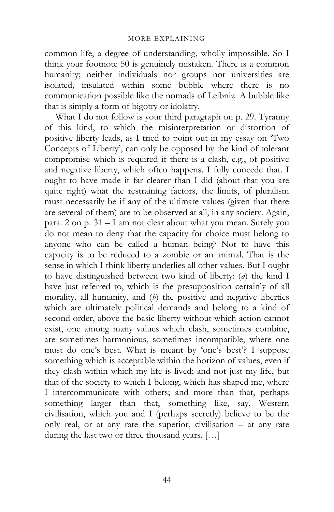common life, a degree of understanding, wholly impossible. So I think your footnote 50 is genuinely mistaken. There is a common humanity; neither individuals nor groups nor universities are isolated, insulated within some bubble where there is no communication possible like the nomads of Leibniz. A bubble like that is simply a form of bigotry or idolatry.

What I do not follow is your third paragraph on p. 29. Tyranny of this kind, to which the misinterpretation or distortion of positive liberty leads, as I tried to point out in my essay on 'Two Concepts of Liberty', can only be opposed by the kind of tolerant compromise which is required if there is a clash, e.g., of positive and negative liberty, which often happens. I fully concede that. I ought to have made it far clearer than I did (about that you are quite right) what the restraining factors, the limits, of pluralism must necessarily be if any of the ultimate values (given that there are several of them) are to be observed at all, in any society. Again, para. 2 on p. 31 – I am not clear about what you mean. Surely you do not mean to deny that the capacity for choice must belong to anyone who can be called a human being? Not to have this capacity is to be reduced to a zombie or an animal. That is the sense in which I think liberty underlies all other values. But I ought to have distinguished between two kind of liberty: (*a*) the kind I have just referred to, which is the presupposition certainly of all morality, all humanity, and (*b*) the positive and negative liberties which are ultimately political demands and belong to a kind of second order, above the basic liberty without which action cannot exist, one among many values which clash, sometimes combine, are sometimes harmonious, sometimes incompatible, where one must do one's best. What is meant by 'one's best'? I suppose something which is acceptable within the horizon of values, even if they clash within which my life is lived; and not just my life, but that of the society to which I belong, which has shaped me, where I intercommunicate with others; and more than that, perhaps something larger than that, something like, say, Western civilisation, which you and I (perhaps secretly) believe to be the only real, or at any rate the superior, civilisation – at any rate during the last two or three thousand years. […]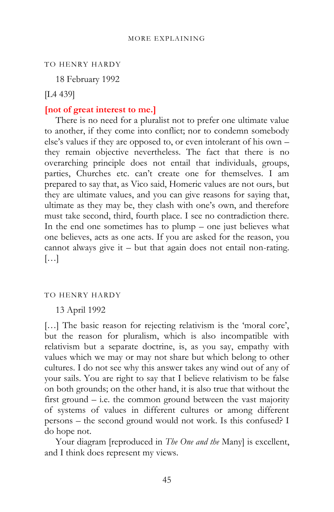TO HENRY HARDY

18 February 1992

[L4 439]

# **[not of great interest to me.]**

There is no need for a pluralist not to prefer one ultimate value to another, if they come into conflict; nor to condemn somebody else's values if they are opposed to, or even intolerant of his own – they remain objective nevertheless. The fact that there is no overarching principle does not entail that individuals, groups, parties, Churches etc. can't create one for themselves. I am prepared to say that, as Vico said, Homeric values are not ours, but they are ultimate values, and you can give reasons for saying that, ultimate as they may be, they clash with one's own, and therefore must take second, third, fourth place. I see no contradiction there. In the end one sometimes has to plump – one just believes what one believes, acts as one acts. If you are asked for the reason, you cannot always give it – but that again does not entail non-rating. […]

### TO HENRY HARDY

13 April 1992

[...] The basic reason for rejecting relativism is the 'moral core', but the reason for pluralism, which is also incompatible with relativism but a separate doctrine, is, as you say, empathy with values which we may or may not share but which belong to other cultures. I do not see why this answer takes any wind out of any of your sails. You are right to say that I believe relativism to be false on both grounds; on the other hand, it is also true that without the first ground – i.e. the common ground between the vast majority of systems of values in different cultures or among different persons – the second ground would not work. Is this confused? I do hope not.

Your diagram [reproduced in *The One and the* Many] is excellent, and I think does represent my views.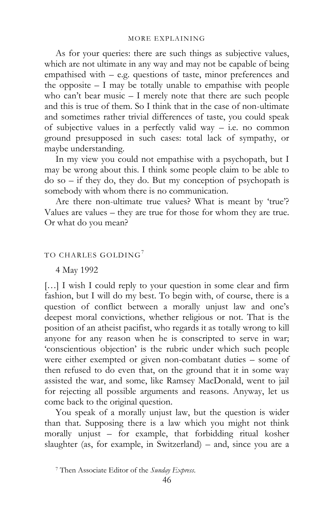As for your queries: there are such things as subjective values, which are not ultimate in any way and may not be capable of being empathised with – e.g. questions of taste, minor preferences and the opposite  $-1$  may be totally unable to empathise with people who can't bear music – I merely note that there are such people and this is true of them. So I think that in the case of non-ultimate and sometimes rather trivial differences of taste, you could speak of subjective values in a perfectly valid way – i.e. no common ground presupposed in such cases: total lack of sympathy, or maybe understanding.

In my view you could not empathise with a psychopath, but I may be wrong about this. I think some people claim to be able to do so – if they do, they do. But my conception of psychopath is somebody with whom there is no communication.

Are there non-ultimate true values? What is meant by 'true'? Values are values – they are true for those for whom they are true. Or what do you mean?

# TO CHARLES GOLDING<sup>7</sup>

4 May 1992

[...] I wish I could reply to your question in some clear and firm fashion, but I will do my best. To begin with, of course, there is a question of conflict between a morally unjust law and one's deepest moral convictions, whether religious or not. That is the position of an atheist pacifist, who regards it as totally wrong to kill anyone for any reason when he is conscripted to serve in war; 'conscientious objection' is the rubric under which such people were either exempted or given non-combatant duties – some of then refused to do even that, on the ground that it in some way assisted the war, and some, like Ramsey MacDonald, went to jail for rejecting all possible arguments and reasons. Anyway, let us come back to the original question.

You speak of a morally unjust law, but the question is wider than that. Supposing there is a law which you might not think morally unjust – for example, that forbidding ritual kosher slaughter (as, for example, in Switzerland) – and, since you are a

<sup>7</sup> Then Associate Editor of the *Sunday Express*.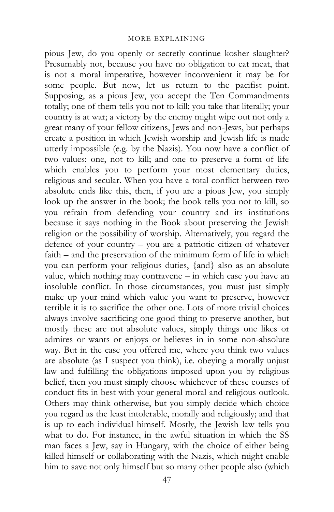pious Jew, do you openly or secretly continue kosher slaughter? Presumably not, because you have no obligation to eat meat, that is not a moral imperative, however inconvenient it may be for some people. But now, let us return to the pacifist point. Supposing, as a pious Jew, you accept the Ten Commandments totally; one of them tells you not to kill; you take that literally; your country is at war; a victory by the enemy might wipe out not only a great many of your fellow citizens, Jews and non-Jews, but perhaps create a position in which Jewish worship and Jewish life is made utterly impossible (e.g. by the Nazis). You now have a conflict of two values: one, not to kill; and one to preserve a form of life which enables you to perform your most elementary duties, religious and secular. When you have a total conflict between two absolute ends like this, then, if you are a pious Jew, you simply look up the answer in the book; the book tells you not to kill, so you refrain from defending your country and its institutions because it says nothing in the Book about preserving the Jewish religion or the possibility of worship. Alternatively, you regard the defence of your country – you are a patriotic citizen of whatever faith – and the preservation of the minimum form of life in which you can perform your religious duties, {and} also as an absolute value, which nothing may contravene – in which case you have an insoluble conflict. In those circumstances, you must just simply make up your mind which value you want to preserve, however terrible it is to sacrifice the other one. Lots of more trivial choices always involve sacrificing one good thing to preserve another, but mostly these are not absolute values, simply things one likes or admires or wants or enjoys or believes in in some non-absolute way. But in the case you offered me, where you think two values are absolute (as I suspect you think), i.e. obeying a morally unjust law and fulfilling the obligations imposed upon you by religious belief, then you must simply choose whichever of these courses of conduct fits in best with your general moral and religious outlook. Others may think otherwise, but you simply decide which choice you regard as the least intolerable, morally and religiously; and that is up to each individual himself. Mostly, the Jewish law tells you what to do. For instance, in the awful situation in which the SS man faces a Jew, say in Hungary, with the choice of either being killed himself or collaborating with the Nazis, which might enable him to save not only himself but so many other people also (which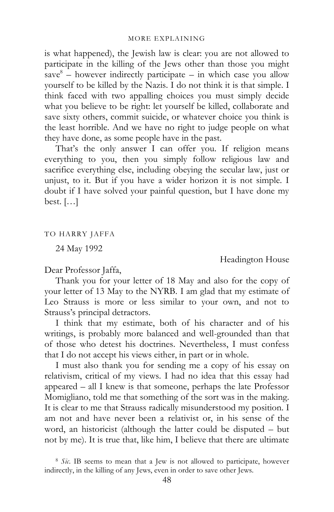is what happened), the Jewish law is clear: you are not allowed to participate in the killing of the Jews other than those you might  $save<sup>8</sup>$  – however indirectly participate – in which case you allow yourself to be killed by the Nazis. I do not think it is that simple. I think faced with two appalling choices you must simply decide what you believe to be right: let yourself be killed, collaborate and save sixty others, commit suicide, or whatever choice you think is the least horrible. And we have no right to judge people on what they have done, as some people have in the past.

That's the only answer I can offer you. If religion means everything to you, then you simply follow religious law and sacrifice everything else, including obeying the secular law, just or unjust, to it. But if you have a wider horizon it is not simple. I doubt if I have solved your painful question, but I have done my best. […]

TO HARRY JAFFA

24 May 1992

Headington House

Dear Professor Jaffa,

Thank you for your letter of 18 May and also for the copy of your letter of 13 May to the NYRB*.* I am glad that my estimate of Leo Strauss is more or less similar to your own, and not to Strauss's principal detractors.

I think that my estimate, both of his character and of his writings, is probably more balanced and well-grounded than that of those who detest his doctrines. Nevertheless, I must confess that I do not accept his views either, in part or in whole.

I must also thank you for sending me a copy of his essay on relativism, critical of my views. I had no idea that this essay had appeared – all I knew is that someone, perhaps the late Professor Momigliano, told me that something of the sort was in the making. It is clear to me that Strauss radically misunderstood my position. I am not and have never been a relativist or, in his sense of the word, an historicist (although the latter could be disputed – but not by me). It is true that, like him, I believe that there are ultimate

<sup>8</sup> *Sic*. IB seems to mean that a Jew is not allowed to participate, however indirectly, in the killing of any Jews, even in order to save other Jews.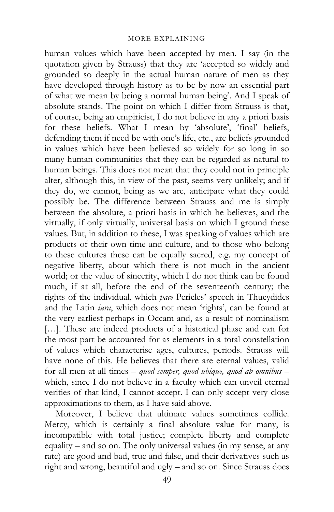human values which have been accepted by men. I say (in the quotation given by Strauss) that they are 'accepted so widely and grounded so deeply in the actual human nature of men as they have developed through history as to be by now an essential part of what we mean by being a normal human being'. And I speak of absolute stands. The point on which I differ from Strauss is that, of course, being an empiricist, I do not believe in any a priori basis for these beliefs. What I mean by 'absolute', 'final' beliefs, defending them if need be with one's life, etc., are beliefs grounded in values which have been believed so widely for so long in so many human communities that they can be regarded as natural to human beings. This does not mean that they could not in principle alter, although this, in view of the past, seems very unlikely; and if they do, we cannot, being as we are, anticipate what they could possibly be. The difference between Strauss and me is simply between the absolute, a priori basis in which he believes, and the virtually, if only virtually, universal basis on which I ground these values. But, in addition to these, I was speaking of values which are products of their own time and culture, and to those who belong to these cultures these can be equally sacred, e.g. my concept of negative liberty, about which there is not much in the ancient world; or the value of sincerity, which I do not think can be found much, if at all, before the end of the seventeenth century; the rights of the individual, which *pace* Pericles' speech in Thucydides and the Latin *iura*, which does not mean 'rights', can be found at the very earliest perhaps in Occam and, as a result of nominalism [...]. These are indeed products of a historical phase and can for the most part be accounted for as elements in a total constellation of values which characterise ages, cultures, periods. Strauss will have none of this. He believes that there are eternal values, valid for all men at all times – *quod semper, quod ubique, quod ab omnibus* – which, since I do not believe in a faculty which can unveil eternal verities of that kind, I cannot accept. I can only accept very close approximations to them, as I have said above.

Moreover, I believe that ultimate values sometimes collide. Mercy, which is certainly a final absolute value for many, is incompatible with total justice; complete liberty and complete equality – and so on. The only universal values (in my sense, at any rate) are good and bad, true and false, and their derivatives such as right and wrong, beautiful and ugly – and so on. Since Strauss does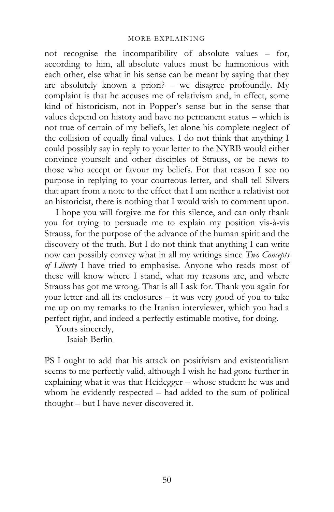not recognise the incompatibility of absolute values – for, according to him, all absolute values must be harmonious with each other, else what in his sense can be meant by saying that they are absolutely known a priori? – we disagree profoundly. My complaint is that he accuses me of relativism and, in effect, some kind of historicism, not in Popper's sense but in the sense that values depend on history and have no permanent status – which is not true of certain of my beliefs, let alone his complete neglect of the collision of equally final values. I do not think that anything I could possibly say in reply to your letter to the NYRB would either convince yourself and other disciples of Strauss, or be news to those who accept or favour my beliefs. For that reason I see no purpose in replying to your courteous letter, and shall tell Silvers that apart from a note to the effect that I am neither a relativist nor an historicist, there is nothing that I would wish to comment upon.

I hope you will forgive me for this silence, and can only thank you for trying to persuade me to explain my position vis-à-vis Strauss, for the purpose of the advance of the human spirit and the discovery of the truth. But I do not think that anything I can write now can possibly convey what in all my writings since *Two Concepts of Liberty* I have tried to emphasise. Anyone who reads most of these will know where I stand, what my reasons are, and where Strauss has got me wrong. That is all I ask for. Thank you again for your letter and all its enclosures – it was very good of you to take me up on my remarks to the Iranian interviewer, which you had a perfect right, and indeed a perfectly estimable motive, for doing.

Yours sincerely, Isaiah Berlin

PS I ought to add that his attack on positivism and existentialism seems to me perfectly valid, although I wish he had gone further in explaining what it was that Heidegger – whose student he was and whom he evidently respected – had added to the sum of political thought – but I have never discovered it.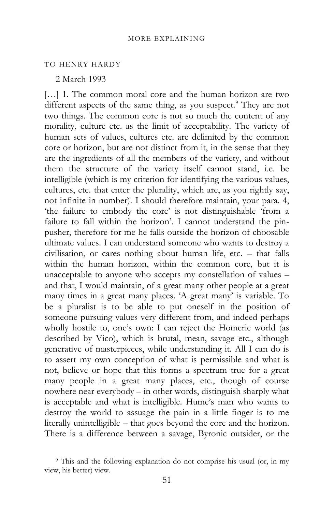#### TO HENRY HARDY

2 March 1993

[...] 1. The common moral core and the human horizon are two different aspects of the same thing, as you suspect. $9$  They are not two things. The common core is not so much the content of any morality, culture etc. as the limit of acceptability. The variety of human sets of values, cultures etc. are delimited by the common core or horizon, but are not distinct from it, in the sense that they are the ingredients of all the members of the variety, and without them the structure of the variety itself cannot stand, i.e. be intelligible (which is my criterion for identifying the various values, cultures, etc. that enter the plurality, which are, as you rightly say, not infinite in number). I should therefore maintain, your para. 4, 'the failure to embody the core' is not distinguishable 'from a failure to fall within the horizon'. I cannot understand the pinpusher, therefore for me he falls outside the horizon of choosable ultimate values. I can understand someone who wants to destroy a civilisation, or cares nothing about human life, etc. – that falls within the human horizon, within the common core, but it is unacceptable to anyone who accepts my constellation of values – and that, I would maintain, of a great many other people at a great many times in a great many places. 'A great many' is variable. To be a pluralist is to be able to put oneself in the position of someone pursuing values very different from, and indeed perhaps wholly hostile to, one's own: I can reject the Homeric world (as described by Vico), which is brutal, mean, savage etc., although generative of masterpieces, while understanding it. All I can do is to assert my own conception of what is permissible and what is not, believe or hope that this forms a spectrum true for a great many people in a great many places, etc., though of course nowhere near everybody – in other words, distinguish sharply what is acceptable and what is intelligible. Hume's man who wants to destroy the world to assuage the pain in a little finger is to me literally unintelligible – that goes beyond the core and the horizon. There is a difference between a savage, Byronic outsider, or the

<sup>&</sup>lt;sup>9</sup> This and the following explanation do not comprise his usual (or, in my view, his better) view.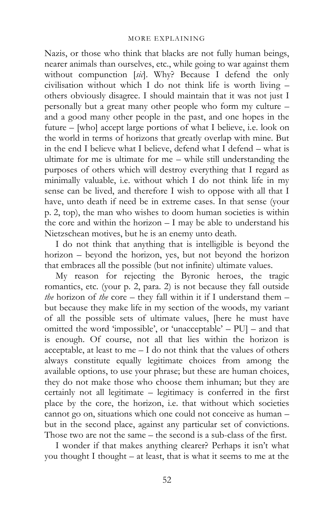Nazis, or those who think that blacks are not fully human beings, nearer animals than ourselves, etc., while going to war against them without compunction [*sic*]. Why? Because I defend the only civilisation without which I do not think life is worth living – others obviously disagree. I should maintain that it was not just I personally but a great many other people who form my culture – and a good many other people in the past, and one hopes in the future – [who] accept large portions of what I believe, i.e. look on the world in terms of horizons that greatly overlap with mine. But in the end I believe what I believe, defend what I defend – what is ultimate for me is ultimate for me – while still understanding the purposes of others which will destroy everything that I regard as minimally valuable, i.e. without which I do not think life in my sense can be lived, and therefore I wish to oppose with all that I have, unto death if need be in extreme cases. In that sense (your p. 2, top), the man who wishes to doom human societies is within the core and within the horizon  $-1$  may be able to understand his Nietzschean motives, but he is an enemy unto death.

I do not think that anything that is intelligible is beyond the horizon – beyond the horizon, yes, but not beyond the horizon that embraces all the possible (but not infinite) ultimate values.

My reason for rejecting the Byronic heroes, the tragic romantics, etc. (your p. 2, para. 2) is not because they fall outside *the* horizon of *the* core – they fall within it if I understand them – but because they make life in my section of the woods, my variant of all the possible sets of ultimate values, [here he must have omitted the word 'impossible', or 'unacceptable' – PU] – and that is enough. Of course, not all that lies within the horizon is acceptable, at least to me – I do not think that the values of others always constitute equally legitimate choices from among the available options, to use your phrase; but these are human choices, they do not make those who choose them inhuman; but they are certainly not all legitimate – legitimacy is conferred in the first place by the core, the horizon, i.e. that without which societies cannot go on, situations which one could not conceive as human – but in the second place, against any particular set of convictions. Those two are not the same – the second is a sub-class of the first.

I wonder if that makes anything clearer? Perhaps it isn't what you thought I thought – at least, that is what it seems to me at the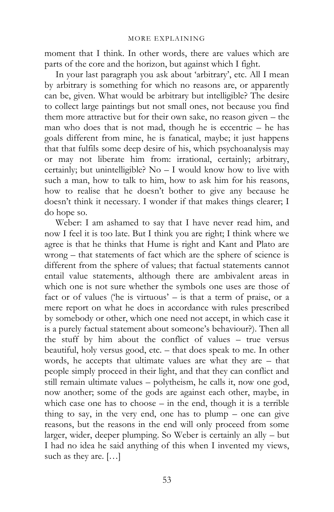moment that I think. In other words, there are values which are parts of the core and the horizon, but against which I fight.

In your last paragraph you ask about 'arbitrary', etc. All I mean by arbitrary is something for which no reasons are, or apparently can be, given. What would be arbitrary but intelligible? The desire to collect large paintings but not small ones, not because you find them more attractive but for their own sake, no reason given – the man who does that is not mad, though he is eccentric – he has goals different from mine, he is fanatical, maybe; it just happens that that fulfils some deep desire of his, which psychoanalysis may or may not liberate him from: irrational, certainly; arbitrary, certainly; but unintelligible? No – I would know how to live with such a man, how to talk to him, how to ask him for his reasons, how to realise that he doesn't bother to give any because he doesn't think it necessary. I wonder if that makes things clearer; I do hope so.

Weber: I am ashamed to say that I have never read him, and now I feel it is too late. But I think you are right; I think where we agree is that he thinks that Hume is right and Kant and Plato are wrong – that statements of fact which are the sphere of science is different from the sphere of values; that factual statements cannot entail value statements, although there are ambivalent areas in which one is not sure whether the symbols one uses are those of fact or of values ('he is virtuous' – is that a term of praise, or a mere report on what he does in accordance with rules prescribed by somebody or other, which one need not accept, in which case it is a purely factual statement about someone's behaviour?). Then all the stuff by him about the conflict of values – true versus beautiful, holy versus good, etc. – that does speak to me. In other words, he accepts that ultimate values are what they are – that people simply proceed in their light, and that they can conflict and still remain ultimate values – polytheism, he calls it, now one god, now another; some of the gods are against each other, maybe, in which case one has to choose – in the end, though it is a terrible thing to say, in the very end, one has to plump – one can give reasons, but the reasons in the end will only proceed from some larger, wider, deeper plumping. So Weber is certainly an ally – but I had no idea he said anything of this when I invented my views, such as they are. […]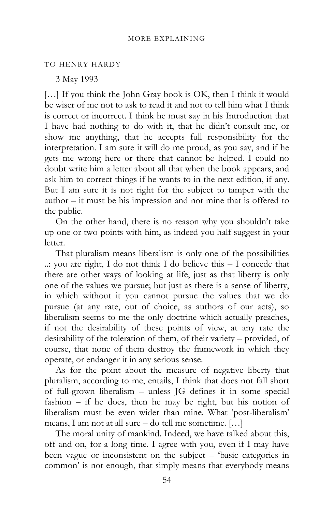### TO HENRY HARDY

3 May 1993

[...] If you think the John Gray book is OK, then I think it would be wiser of me not to ask to read it and not to tell him what I think is correct or incorrect. I think he must say in his Introduction that I have had nothing to do with it, that he didn't consult me, or show me anything, that he accepts full responsibility for the interpretation. I am sure it will do me proud, as you say, and if he gets me wrong here or there that cannot be helped. I could no doubt write him a letter about all that when the book appears, and ask him to correct things if he wants to in the next edition, if any. But I am sure it is not right for the subject to tamper with the author – it must be his impression and not mine that is offered to the public.

On the other hand, there is no reason why you shouldn't take up one or two points with him, as indeed you half suggest in your letter.

That pluralism means liberalism is only one of the possibilities ..: you are right, I do not think I do believe this – I concede that there are other ways of looking at life, just as that liberty is only one of the values we pursue; but just as there is a sense of liberty, in which without it you cannot pursue the values that we do pursue (at any rate, out of choice, as authors of our acts), so liberalism seems to me the only doctrine which actually preaches, if not the desirability of these points of view, at any rate the desirability of the toleration of them, of their variety – provided, of course, that none of them destroy the framework in which they operate, or endanger it in any serious sense.

As for the point about the measure of negative liberty that pluralism, according to me, entails, I think that does not fall short of full-grown liberalism – unless JG defines it in some special fashion – if he does, then he may be right, but his notion of liberalism must be even wider than mine. What 'post-liberalism' means, I am not at all sure – do tell me sometime. […]

The moral unity of mankind. Indeed, we have talked about this, off and on, for a long time. I agree with you, even if I may have been vague or inconsistent on the subject – 'basic categories in common' is not enough, that simply means that everybody means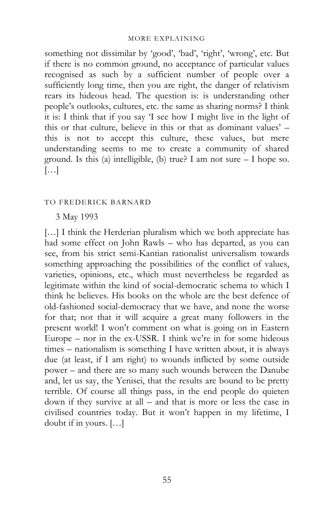something not dissimilar by 'good', 'bad', 'right', 'wrong', etc. But if there is no common ground, no acceptance of particular values recognised as such by a sufficient number of people over a sufficiently long time, then you are right, the danger of relativism rears its hideous head. The question is: is understanding other people's outlooks, cultures, etc. the same as sharing norms? I think it is: I think that if you say 'I see how I might live in the light of this or that culture, believe in this or that as dominant values' – this is not to accept this culture, these values, but mere understanding seems to me to create a community of shared ground. Is this (a) intelligible, (b) true? I am not sure  $-$  I hope so. […]

### TO FREDERICK BARNARD

3 May 1993

[...] I think the Herderian pluralism which we both appreciate has had some effect on John Rawls – who has departed, as you can see, from his strict semi-Kantian rationalist universalism towards something approaching the possibilities of the conflict of values, varieties, opinions, etc., which must nevertheless be regarded as legitimate within the kind of social-democratic schema to which I think he believes. His books on the whole are the best defence of old-fashioned social-democracy that we have, and none the worse for that; not that it will acquire a great many followers in the present world! I won't comment on what is going on in Eastern Europe – nor in the ex-USSR. I think we're in for some hideous times – nationalism is something I have written about, it is always due (at least, if I am right) to wounds inflicted by some outside power – and there are so many such wounds between the Danube and, let us say, the Yenisei, that the results are bound to be pretty terrible. Of course all things pass, in the end people do quieten down if they survive at all – and that is more or less the case in civilised countries today. But it won't happen in my lifetime, I doubt if in yours. […]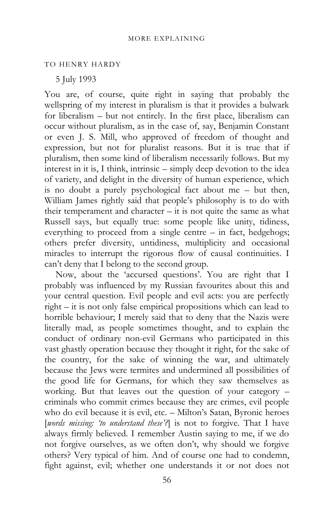### TO HENRY HARDY

5 July 1993

You are, of course, quite right in saying that probably the wellspring of my interest in pluralism is that it provides a bulwark for liberalism – but not entirely. In the first place, liberalism can occur without pluralism, as in the case of, say, Benjamin Constant or even J. S. Mill, who approved of freedom of thought and expression, but not for pluralist reasons. But it is true that if pluralism, then some kind of liberalism necessarily follows. But my interest in it is, I think, intrinsic – simply deep devotion to the idea of variety, and delight in the diversity of human experience, which is no doubt a purely psychological fact about me – but then, William James rightly said that people's philosophy is to do with their temperament and character – it is not quite the same as what Russell says, but equally true: some people like unity, tidiness, everything to proceed from a single centre – in fact, hedgehogs; others prefer diversity, untidiness, multiplicity and occasional miracles to interrupt the rigorous flow of causal continuities. I can't deny that I belong to the second group.

Now, about the 'accursed questions'. You are right that I probably was influenced by my Russian favourites about this and your central question. Evil people and evil acts: you are perfectly right – it is not only false empirical propositions which can lead to horrible behaviour; I merely said that to deny that the Nazis were literally mad, as people sometimes thought, and to explain the conduct of ordinary non-evil Germans who participated in this vast ghastly operation because they thought it right, for the sake of the country, for the sake of winning the war, and ultimately because the Jews were termites and undermined all possibilities of the good life for Germans, for which they saw themselves as working. But that leaves out the question of your category – criminals who commit crimes because they are crimes, evil people who do evil because it is evil, etc. – Milton's Satan, Byronic heroes [words missing: 'to understand these'?] is not to forgive. That I have always firmly believed. I remember Austin saying to me, if we do not forgive ourselves, as we often don't, why should we forgive others? Very typical of him. And of course one had to condemn, fight against, evil; whether one understands it or not does not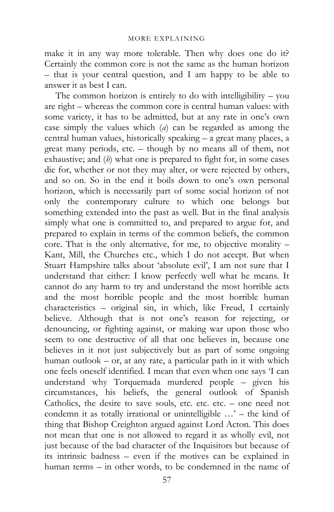make it in any way more tolerable. Then why does one do it? Certainly the common core is not the same as the human horizon – that is your central question, and I am happy to be able to answer it as best I can.

The common horizon is entirely to do with intelligibility – you are right – whereas the common core is central human values: with some variety, it has to be admitted, but at any rate in one's own case simply the values which (*a*) can be regarded as among the central human values, historically speaking – a great many places, a great many periods, etc. – though by no means all of them, not exhaustive; and (*b*) what one is prepared to fight for, in some cases die for, whether or not they may alter, or were rejected by others, and so on. So in the end it boils down to one's own personal horizon, which is necessarily part of some social horizon of not only the contemporary culture to which one belongs but something extended into the past as well. But in the final analysis simply what one is committed to, and prepared to argue for, and prepared to explain in terms of the common beliefs, the common core. That is the only alternative, for me, to objective morality – Kant, Mill, the Churches etc., which I do not accept. But when Stuart Hampshire talks about 'absolute evil', I am not sure that I understand that either: I know perfectly well what he means. It cannot do any harm to try and understand the most horrible acts and the most horrible people and the most horrible human characteristics – original sin, in which, like Freud, I certainly believe. Although that is not one's reason for rejecting, or denouncing, or fighting against, or making war upon those who seem to one destructive of all that one believes in, because one believes in it not just subjectively but as part of some ongoing human outlook – or, at any rate, a particular path in it with which one feels oneself identified. I mean that even when one says 'I can understand why Torquemada murdered people – given his circumstances, his beliefs, the general outlook of Spanish Catholics, the desire to save souls, etc. etc. etc. – one need not condemn it as totally irrational or unintelligible …' – the kind of thing that Bishop Creighton argued against Lord Acton. This does not mean that one is not allowed to regard it as wholly evil, not just because of the bad character of the Inquisitors but because of its intrinsic badness – even if the motives can be explained in human terms – in other words, to be condemned in the name of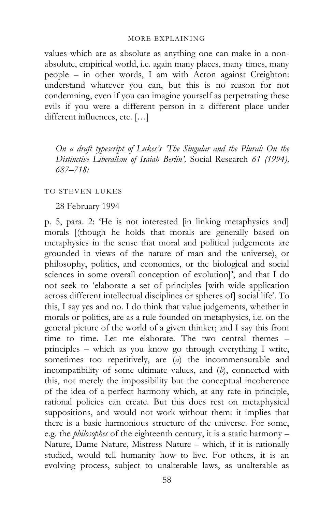values which are as absolute as anything one can make in a nonabsolute, empirical world, i.e. again many places, many times, many people – in other words, I am with Acton against Creighton: understand whatever you can, but this is no reason for not condemning, even if you can imagine yourself as perpetrating these evils if you were a different person in a different place under different influences, etc. [...]

*On a draft typescript of Lukes's 'The Singular and the Plural: On the Distinctive Liberalism of Isaiah Berlin',* Social Research *61 (1994), 687–718:*

#### TO STEVEN LUKES

28 February 1994

p. 5, para. 2: 'He is not interested [in linking metaphysics and] morals [(though he holds that morals are generally based on metaphysics in the sense that moral and political judgements are grounded in views of the nature of man and the universe), or philosophy, politics, and economics, or the biological and social sciences in some overall conception of evolution]', and that I do not seek to 'elaborate a set of principles [with wide application across different intellectual disciplines or spheres of] social life'. To this, I say yes and no. I do think that value judgements, whether in morals or politics, are as a rule founded on metaphysics, i.e. on the general picture of the world of a given thinker; and I say this from time to time. Let me elaborate. The two central themes – principles – which as you know go through everything I write, sometimes too repetitively, are (*a*) the incommensurable and incompatibility of some ultimate values, and (*b*), connected with this, not merely the impossibility but the conceptual incoherence of the idea of a perfect harmony which, at any rate in principle, rational policies can create. But this does rest on metaphysical suppositions, and would not work without them: it implies that there is a basic harmonious structure of the universe. For some, e.g. the *philosophes* of the eighteenth century, it is a static harmony – Nature, Dame Nature, Mistress Nature – which, if it is rationally studied, would tell humanity how to live. For others, it is an evolving process, subject to unalterable laws, as unalterable as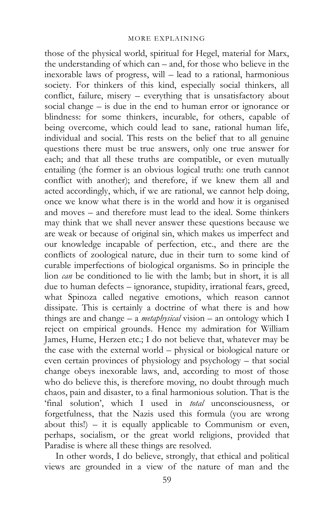those of the physical world, spiritual for Hegel, material for Marx, the understanding of which can – and, for those who believe in the inexorable laws of progress, will – lead to a rational, harmonious society. For thinkers of this kind, especially social thinkers, all conflict, failure, misery – everything that is unsatisfactory about social change – is due in the end to human error or ignorance or blindness: for some thinkers, incurable, for others, capable of being overcome, which could lead to sane, rational human life, individual and social. This rests on the belief that to all genuine questions there must be true answers, only one true answer for each; and that all these truths are compatible, or even mutually entailing (the former is an obvious logical truth: one truth cannot conflict with another); and therefore, if we knew them all and acted accordingly, which, if we are rational, we cannot help doing, once we know what there is in the world and how it is organised and moves – and therefore must lead to the ideal. Some thinkers may think that we shall never answer these questions because we are weak or because of original sin, which makes us imperfect and our knowledge incapable of perfection, etc., and there are the conflicts of zoological nature, due in their turn to some kind of curable imperfections of biological organisms. So in principle the lion *can* be conditioned to lie with the lamb; but in short, it is all due to human defects – ignorance, stupidity, irrational fears, greed, what Spinoza called negative emotions, which reason cannot dissipate. This is certainly a doctrine of what there is and how things are and change – a *metaphysical* vision – an ontology which I reject on empirical grounds. Hence my admiration for William James, Hume, Herzen etc.; I do not believe that, whatever may be the case with the external world – physical or biological nature or even certain provinces of physiology and psychology – that social change obeys inexorable laws, and, according to most of those who do believe this, is therefore moving, no doubt through much chaos, pain and disaster, to a final harmonious solution. That is the 'final solution', which I used in *total* unconsciousness, or forgetfulness, that the Nazis used this formula (you are wrong about this!) – it is equally applicable to Communism or even, perhaps, socialism, or the great world religions, provided that Paradise is where all these things are resolved.

In other words, I do believe, strongly, that ethical and political views are grounded in a view of the nature of man and the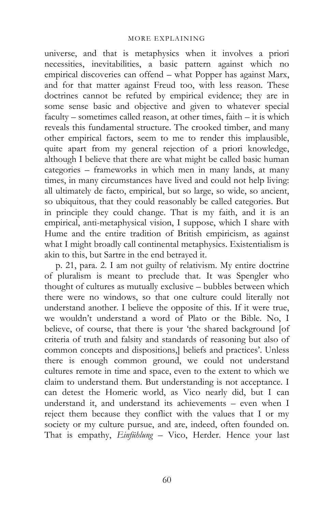universe, and that is metaphysics when it involves a priori necessities, inevitabilities, a basic pattern against which no empirical discoveries can offend – what Popper has against Marx, and for that matter against Freud too, with less reason. These doctrines cannot be refuted by empirical evidence; they are in some sense basic and objective and given to whatever special faculty – sometimes called reason, at other times, faith – it is which reveals this fundamental structure. The crooked timber, and many other empirical factors, seem to me to render this implausible, quite apart from my general rejection of a priori knowledge, although I believe that there are what might be called basic human categories – frameworks in which men in many lands, at many times, in many circumstances have lived and could not help living: all ultimately de facto, empirical, but so large, so wide, so ancient, so ubiquitous, that they could reasonably be called categories. But in principle they could change. That is my faith, and it is an empirical, anti-metaphysical vision, I suppose, which I share with Hume and the entire tradition of British empiricism, as against what I might broadly call continental metaphysics. Existentialism is akin to this, but Sartre in the end betrayed it.

p. 21, para. 2. I am not guilty of relativism. My entire doctrine of pluralism is meant to preclude that. It was Spengler who thought of cultures as mutually exclusive – bubbles between which there were no windows, so that one culture could literally not understand another. I believe the opposite of this. If it were true, we wouldn't understand a word of Plato or the Bible. No, I believe, of course, that there is your 'the shared background [of criteria of truth and falsity and standards of reasoning but also of common concepts and dispositions,] beliefs and practices'. Unless there is enough common ground, we could not understand cultures remote in time and space, even to the extent to which we claim to understand them. But understanding is not acceptance. I can detest the Homeric world, as Vico nearly did, but I can understand it, and understand its achievements – even when I reject them because they conflict with the values that I or my society or my culture pursue, and are, indeed, often founded on. That is empathy, *Einfühlung* – Vico, Herder. Hence your last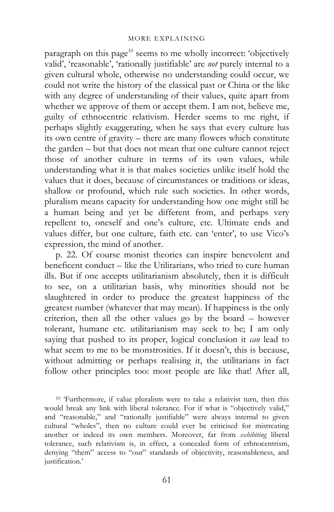paragraph on this page<sup>10</sup> seems to me wholly incorrect: 'objectively valid', 'reasonable', 'rationally justifiable' are *not* purely internal to a given cultural whole, otherwise no understanding could occur, we could not write the history of the classical past or China or the like with any degree of understanding of their values, quite apart from whether we approve of them or accept them. I am not, believe me, guilty of ethnocentric relativism. Herder seems to me right, if perhaps slightly exaggerating, when he says that every culture has its own centre of gravity – there are many flowers which constitute the garden – but that does not mean that one culture cannot reject those of another culture in terms of its own values, while understanding what it is that makes societies unlike itself hold the values that it does, because of circumstances or traditions or ideas, shallow or profound, which rule such societies. In other words, pluralism means capacity for understanding how one might still be a human being and yet be different from, and perhaps very repellent to, oneself and one's culture, etc. Ultimate ends and values differ, but one culture, faith etc. can 'enter', to use Vico's expression, the mind of another.

p. 22. Of course monist theories can inspire benevolent and beneficent conduct – like the Utilitarians, who tried to cure human ills. But if one accepts utilitarianism absolutely, then it is difficult to see, on a utilitarian basis, why minorities should not be slaughtered in order to produce the greatest happiness of the greatest number (whatever that may mean). If happiness is the only criterion, then all the other values go by the board – however tolerant, humane etc. utilitarianism may seek to be; I am only saying that pushed to its proper, logical conclusion it *can* lead to what seem to me to be monstrosities. If it doesn't, this is because, without admitting or perhaps realising it, the utilitarians in fact follow other principles too: most people are like that! After all,

<sup>10</sup> 'Furthermore, if value pluralism were to take a relativist turn, then this would break any link with liberal tolerance. For if what is "objectively valid," and "reasonable," and "rationally justifiable" were always internal to given cultural "wholes", then no culture could ever be criticised for mistreating another or indeed its own members. Moreover, far from *exhibiting* liberal tolerance, such relativism is, in effect, a concealed form of ethnocentrism, denying "them" access to "our" standards of objectivity, reasonableness, and justification.'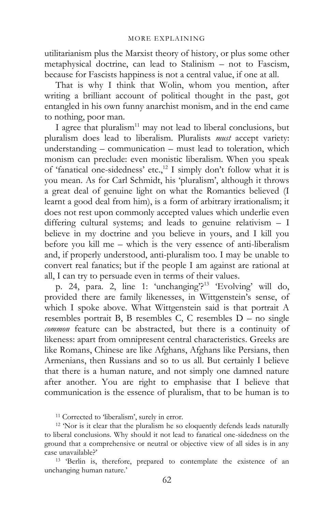utilitarianism plus the Marxist theory of history, or plus some other metaphysical doctrine, can lead to Stalinism – not to Fascism, because for Fascists happiness is not a central value, if one at all.

That is why I think that Wolin, whom you mention, after writing a brilliant account of political thought in the past, got entangled in his own funny anarchist monism, and in the end came to nothing, poor man.

I agree that pluralism<sup>11</sup> may not lead to liberal conclusions, but pluralism does lead to liberalism. Pluralists *must* accept variety: understanding – communication – must lead to toleration, which monism can preclude: even monistic liberalism. When you speak of 'fanatical one-sidedness' etc.,<sup>12</sup> I simply don't follow what it is you mean. As for Carl Schmidt, his 'pluralism', although it throws a great deal of genuine light on what the Romantics believed (I learnt a good deal from him), is a form of arbitrary irrationalism; it does not rest upon commonly accepted values which underlie even differing cultural systems; and leads to genuine relativism – I believe in my doctrine and you believe in yours, and I kill you before you kill me – which is the very essence of anti-liberalism and, if properly understood, anti-pluralism too. I may be unable to convert real fanatics; but if the people I am against are rational at all, I can try to persuade even in terms of their values.

p. 24, para. 2, line 1: 'unchanging'?<sup>13</sup> 'Evolving' will do, provided there are family likenesses, in Wittgenstein's sense, of which I spoke above. What Wittgenstein said is that portrait A resembles portrait B, B resembles C, C resembles D – no single *common* feature can be abstracted, but there is a continuity of likeness: apart from omnipresent central characteristics. Greeks are like Romans, Chinese are like Afghans, Afghans like Persians, then Armenians, then Russians and so to us all. But certainly I believe that there is a human nature, and not simply one damned nature after another. You are right to emphasise that I believe that communication is the essence of pluralism, that to be human is to

<sup>11</sup> Corrected to 'liberalism', surely in error.

<sup>12</sup> Nor is it clear that the pluralism he so eloquently defends leads naturally to liberal conclusions. Why should it not lead to fanatical one-sidedness on the ground that a comprehensive or neutral or objective view of all sides is in any case unavailable?'

<sup>13</sup> 'Berlin is, therefore, prepared to contemplate the existence of an unchanging human nature.'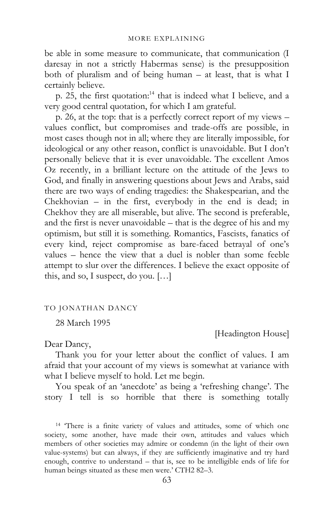be able in some measure to communicate, that communication (I daresay in not a strictly Habermas sense) is the presupposition both of pluralism and of being human – at least, that is what I certainly believe.

p. 25, the first quotation:<sup>14</sup> that is indeed what I believe, and a very good central quotation, for which I am grateful.

p. 26, at the top: that is a perfectly correct report of my views – values conflict, but compromises and trade-offs are possible, in most cases though not in all; where they are literally impossible, for ideological or any other reason, conflict is unavoidable. But I don't personally believe that it is ever unavoidable. The excellent Amos Oz recently, in a brilliant lecture on the attitude of the Jews to God, and finally in answering questions about Jews and Arabs, said there are two ways of ending tragedies: the Shakespearian, and the Chekhovian – in the first, everybody in the end is dead; in Chekhov they are all miserable, but alive. The second is preferable, and the first is never unavoidable – that is the degree of his and my optimism, but still it is something. Romantics, Fascists, fanatics of every kind, reject compromise as bare-faced betrayal of one's values – hence the view that a duel is nobler than some feeble attempt to slur over the differences. I believe the exact opposite of this, and so, I suspect, do you. […]

#### TO JONATHAN DANCY

28 March 1995

[Headington House]

Dear Dancy,

Thank you for your letter about the conflict of values. I am afraid that your account of my views is somewhat at variance with what I believe myself to hold. Let me begin.

You speak of an 'anecdote' as being a 'refreshing change'. The story I tell is so horrible that there is something totally

<sup>14</sup> There is a finite variety of values and attitudes, some of which one society, some another, have made their own, attitudes and values which members of other societies may admire or condemn (in the light of their own value-systems) but can always, if they are sufficiently imaginative and try hard enough, contrive to understand – that is, see to be intelligible ends of life for human beings situated as these men were.' CTH2 82–3.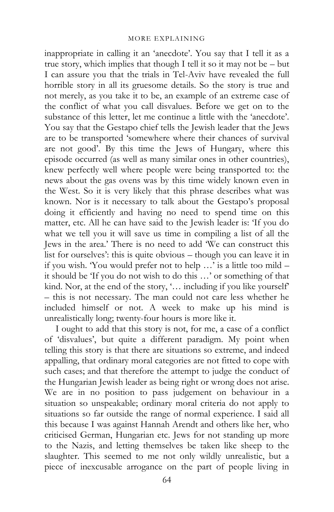inappropriate in calling it an 'anecdote'. You say that I tell it as a true story, which implies that though I tell it so it may not be  $-$  but I can assure you that the trials in Tel-Aviv have revealed the full horrible story in all its gruesome details. So the story is true and not merely, as you take it to be, an example of an extreme case of the conflict of what you call disvalues. Before we get on to the substance of this letter, let me continue a little with the 'anecdote'. You say that the Gestapo chief tells the Jewish leader that the Jews are to be transported 'somewhere where their chances of survival are not good'. By this time the Jews of Hungary, where this episode occurred (as well as many similar ones in other countries), knew perfectly well where people were being transported to: the news about the gas ovens was by this time widely known even in the West. So it is very likely that this phrase describes what was known. Nor is it necessary to talk about the Gestapo's proposal doing it efficiently and having no need to spend time on this matter, etc. All he can have said to the Jewish leader is: 'If you do what we tell you it will save us time in compiling a list of all the Jews in the area.' There is no need to add 'We can construct this list for ourselves': this is quite obvious – though you can leave it in if you wish. 'You would prefer not to help …' is a little too mild – it should be 'If you do not wish to do this …' or something of that kind. Nor, at the end of the story, '... including if you like yourself' – this is not necessary. The man could not care less whether he included himself or not. A week to make up his mind is unrealistically long; twenty-four hours is more like it.

I ought to add that this story is not, for me, a case of a conflict of 'disvalues', but quite a different paradigm. My point when telling this story is that there are situations so extreme, and indeed appalling, that ordinary moral categories are not fitted to cope with such cases; and that therefore the attempt to judge the conduct of the Hungarian Jewish leader as being right or wrong does not arise. We are in no position to pass judgement on behaviour in a situation so unspeakable; ordinary moral criteria do not apply to situations so far outside the range of normal experience. I said all this because I was against Hannah Arendt and others like her, who criticised German, Hungarian etc. Jews for not standing up more to the Nazis, and letting themselves be taken like sheep to the slaughter. This seemed to me not only wildly unrealistic, but a piece of inexcusable arrogance on the part of people living in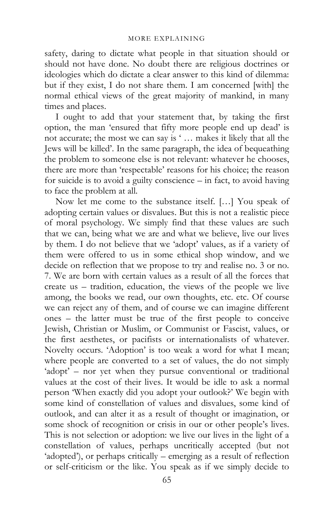safety, daring to dictate what people in that situation should or should not have done. No doubt there are religious doctrines or ideologies which do dictate a clear answer to this kind of dilemma: but if they exist, I do not share them. I am concerned [with] the normal ethical views of the great majority of mankind, in many times and places.

I ought to add that your statement that, by taking the first option, the man 'ensured that fifty more people end up dead' is not accurate; the most we can say is ' … makes it likely that all the Jews will be killed'. In the same paragraph, the idea of bequeathing the problem to someone else is not relevant: whatever he chooses, there are more than 'respectable' reasons for his choice; the reason for suicide is to avoid a guilty conscience – in fact, to avoid having to face the problem at all.

Now let me come to the substance itself. […] You speak of adopting certain values or disvalues. But this is not a realistic piece of moral psychology. We simply find that these values are such that we can, being what we are and what we believe, live our lives by them. I do not believe that we 'adopt' values, as if a variety of them were offered to us in some ethical shop window, and we decide on reflection that we propose to try and realise no. 3 or no. 7. We are born with certain values as a result of all the forces that create us – tradition, education, the views of the people we live among, the books we read, our own thoughts, etc. etc. Of course we can reject any of them, and of course we can imagine different ones – the latter must be true of the first people to conceive Jewish, Christian or Muslim, or Communist or Fascist, values, or the first aesthetes, or pacifists or internationalists of whatever. Novelty occurs. 'Adoption' is too weak a word for what I mean; where people are converted to a set of values, the do not simply 'adopt' – nor yet when they pursue conventional or traditional values at the cost of their lives. It would be idle to ask a normal person 'When exactly did you adopt your outlook?' We begin with some kind of constellation of values and disvalues, some kind of outlook, and can alter it as a result of thought or imagination, or some shock of recognition or crisis in our or other people's lives. This is not selection or adoption: we live our lives in the light of a constellation of values, perhaps uncritically accepted (but not 'adopted'), or perhaps critically – emerging as a result of reflection or self-criticism or the like. You speak as if we simply decide to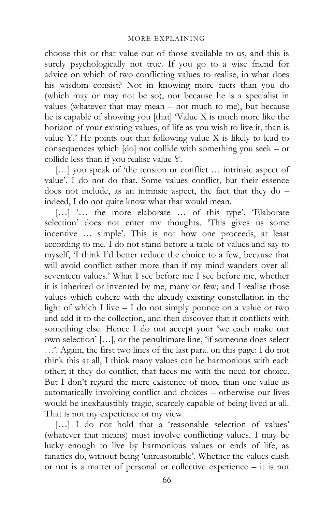choose this or that value out of those available to us, and this is surely psychologically not true. If you go to a wise friend for advice on which of two conflicting values to realise, in what does his wisdom consist? Not in knowing more facts than you do (which may or may not be so), nor because he is a specialist in values (whatever that may mean – not much to me), but because he is capable of showing you [that] 'Value X is much more like the horizon of your existing values, of life as you wish to live it, than is value Y.' He points out that following value X is likely to lead to consequences which [do] not collide with something you seek – or collide less than if you realise value Y.

[...] you speak of 'the tension or conflict ... intrinsic aspect of value'. I do not do that. Some values conflict, but their essence does not include, as an intrinsic aspect, the fact that they do – indeed, I do not quite know what that would mean.

[…] '… the more elaborate … of this type'. 'Elaborate selection' does not enter my thoughts. 'This gives us some incentive … simple'. This is not how one proceeds, at least according to me. I do not stand before a table of values and say to myself, 'I think I'd better reduce the choice to a few, because that will avoid conflict rather more than if my mind wanders over all seventeen values.' What I see before me I see before me, whether it is inherited or invented by me, many or few; and I realise those values which cohere with the already existing constellation in the light of which I live  $-$  I do not simply pounce on a value or two and add it to the collection, and then discover that it conflicts with something else. Hence I do not accept your 'we each make our own selection' […], or the penultimate line, 'if someone does select …'. Again, the first two lines of the last para. on this page: I do not think this at all, I think many values can be harmonious with each other; if they do conflict, that faces me with the need for choice. But I don't regard the mere existence of more than one value as automatically involving conflict and choices – otherwise our lives would be inexhaustibly tragic, scarcely capable of being lived at all. That is not my experience or my view.

[...] I do not hold that a 'reasonable selection of values' (whatever that means) must involve conflicting values. I may be lucky enough to live by harmonious values or ends of life, as fanatics do, without being 'unreasonable'. Whether the values clash or not is a matter of personal or collective experience – it is not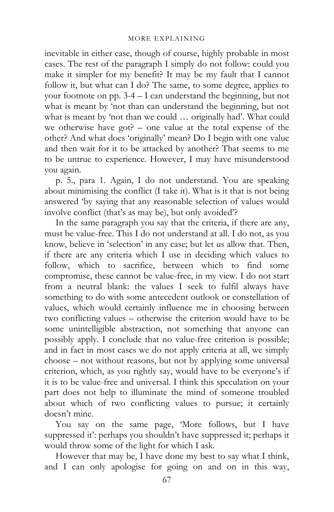inevitable in either case, though of course, highly probable in most cases. The rest of the paragraph I simply do not follow: could you make it simpler for my benefit? It may be my fault that I cannot follow it, but what can I do? The same, to some degree, applies to your footnote on pp. 3-4 – I can understand the beginning, but not what is meant by 'not than can understand the beginning, but not what is meant by 'not than we could … originally had'. What could we otherwise have got? – one value at the total expense of the other? And what does 'originally' mean? Do I begin with one value and then wait for it to be attacked by another? That seems to me to be untrue to experience. However, I may have misunderstood you again.

p. 5., para 1. Again, I do not understand. You are speaking about minimising the conflict (I take it). What is it that is not being answered 'by saying that any reasonable selection of values would involve conflict (that's as may be), but only avoided'?

In the same paragraph you say that the criteria, if there are any, must be value-free. This I do not understand at all. I do not, as you know, believe in 'selection' in any case; but let us allow that. Then, if there are any criteria which I use in deciding which values to follow, which to sacrifice, between which to find some compromise, these cannot be value-free, in my view. I do not start from a neutral blank: the values I seek to fulfil always have something to do with some antecedent outlook or constellation of values, which would certainly influence me in choosing between two conflicting values – otherwise the criterion would have to be some unintelligible abstraction, not something that anyone can possibly apply. I conclude that no value-free criterion is possible; and in fact in most cases we do not apply criteria at all, we simply choose – not without reasons, but not by applying some universal criterion, which, as you rightly say, would have to be everyone's if it is to be value-free and universal. I think this speculation on your part does not help to illuminate the mind of someone troubled about which of two conflicting values to pursue; it certainly doesn't mine.

You say on the same page, 'More follows, but I have suppressed it': perhaps you shouldn't have suppressed it; perhaps it would throw some of the light for which I ask.

However that may be, I have done my best to say what I think, and I can only apologise for going on and on in this way,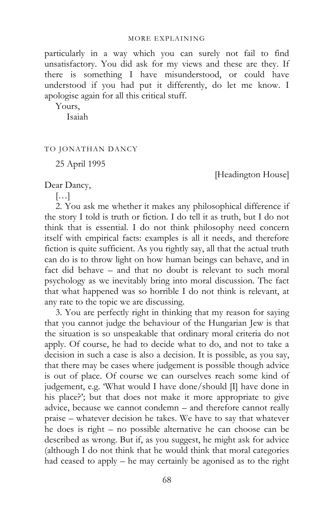particularly in a way which you can surely not fail to find unsatisfactory. You did ask for my views and these are they. If there is something I have misunderstood, or could have understood if you had put it differently, do let me know. I apologise again for all this critical stuff.

Yours, Isaiah

TO JONATHAN DANCY

25 April 1995

[Headington House]

Dear Dancy,

 $\left[\ldots\right]$ 

2. You ask me whether it makes any philosophical difference if the story I told is truth or fiction. I do tell it as truth, but I do not think that is essential. I do not think philosophy need concern itself with empirical facts: examples is all it needs, and therefore fiction is quite sufficient. As you rightly say, all that the actual truth can do is to throw light on how human beings can behave, and in fact did behave – and that no doubt is relevant to such moral psychology as we inevitably bring into moral discussion. The fact that what happened was so horrible I do not think is relevant, at any rate to the topic we are discussing.

3. You are perfectly right in thinking that my reason for saying that you cannot judge the behaviour of the Hungarian Jew is that the situation is so unspeakable that ordinary moral criteria do not apply. Of course, he had to decide what to do, and not to take a decision in such a case is also a decision. It is possible, as you say, that there may be cases where judgement is possible though advice is out of place. Of course we can ourselves reach some kind of judgement, e.g. 'What would I have done/should [I] have done in his place?'; but that does not make it more appropriate to give advice, because we cannot condemn – and therefore cannot really praise – whatever decision he takes. We have to say that whatever he does is right – no possible alternative he can choose can be described as wrong. But if, as you suggest, he might ask for advice (although I do not think that he would think that moral categories had ceased to apply – he may certainly be agonised as to the right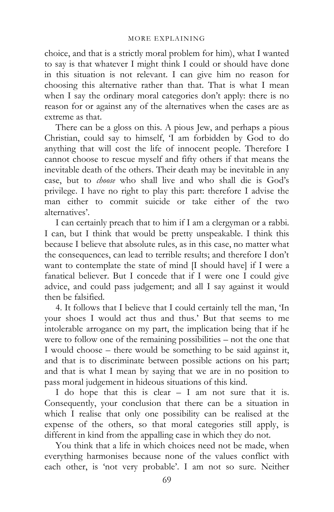choice, and that is a strictly moral problem for him), what I wanted to say is that whatever I might think I could or should have done in this situation is not relevant. I can give him no reason for choosing this alternative rather than that. That is what I mean when I say the ordinary moral categories don't apply: there is no reason for or against any of the alternatives when the cases are as extreme as that.

There can be a gloss on this. A pious Jew, and perhaps a pious Christian, could say to himself, 'I am forbidden by God to do anything that will cost the life of innocent people. Therefore I cannot choose to rescue myself and fifty others if that means the inevitable death of the others. Their death may be inevitable in any case, but to *choose* who shall live and who shall die is God's privilege. I have no right to play this part: therefore I advise the man either to commit suicide or take either of the two alternatives'.

I can certainly preach that to him if I am a clergyman or a rabbi. I can, but I think that would be pretty unspeakable. I think this because I believe that absolute rules, as in this case, no matter what the consequences, can lead to terrible results; and therefore I don't want to contemplate the state of mind [I should have] if I were a fanatical believer. But I concede that if I were one I could give advice, and could pass judgement; and all I say against it would then be falsified.

4. It follows that I believe that I could certainly tell the man, 'In your shoes I would act thus and thus.' But that seems to me intolerable arrogance on my part, the implication being that if he were to follow one of the remaining possibilities – not the one that I would choose – there would be something to be said against it, and that is to discriminate between possible actions on his part; and that is what I mean by saying that we are in no position to pass moral judgement in hideous situations of this kind.

I do hope that this is clear – I am not sure that it is. Consequently, your conclusion that there can be a situation in which I realise that only one possibility can be realised at the expense of the others, so that moral categories still apply, is different in kind from the appalling case in which they do not.

You think that a life in which choices need not be made, when everything harmonises because none of the values conflict with each other, is 'not very probable'. I am not so sure. Neither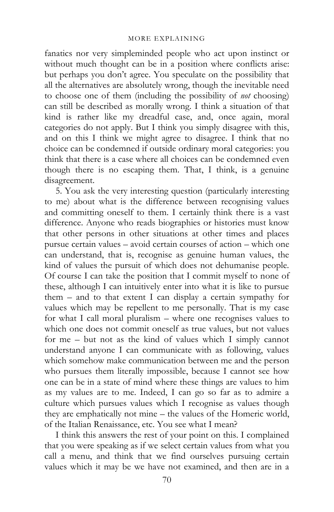fanatics nor very simpleminded people who act upon instinct or without much thought can be in a position where conflicts arise: but perhaps you don't agree. You speculate on the possibility that all the alternatives are absolutely wrong, though the inevitable need to choose one of them (including the possibility of *not* choosing) can still be described as morally wrong. I think a situation of that kind is rather like my dreadful case, and, once again, moral categories do not apply. But I think you simply disagree with this, and on this I think we might agree to disagree. I think that no choice can be condemned if outside ordinary moral categories: you think that there is a case where all choices can be condemned even though there is no escaping them. That, I think, is a genuine disagreement.

5. You ask the very interesting question (particularly interesting to me) about what is the difference between recognising values and committing oneself to them. I certainly think there is a vast difference. Anyone who reads biographies or histories must know that other persons in other situations at other times and places pursue certain values – avoid certain courses of action – which one can understand, that is, recognise as genuine human values, the kind of values the pursuit of which does not dehumanise people. Of course I can take the position that I commit myself to none of these, although I can intuitively enter into what it is like to pursue them – and to that extent I can display a certain sympathy for values which may be repellent to me personally. That is my case for what I call moral pluralism – where one recognises values to which one does not commit oneself as true values, but not values for me – but not as the kind of values which I simply cannot understand anyone I can communicate with as following, values which somehow make communication between me and the person who pursues them literally impossible, because I cannot see how one can be in a state of mind where these things are values to him as my values are to me. Indeed, I can go so far as to admire a culture which pursues values which I recognise as values though they are emphatically not mine – the values of the Homeric world, of the Italian Renaissance, etc. You see what I mean?

I think this answers the rest of your point on this. I complained that you were speaking as if we select certain values from what you call a menu, and think that we find ourselves pursuing certain values which it may be we have not examined, and then are in a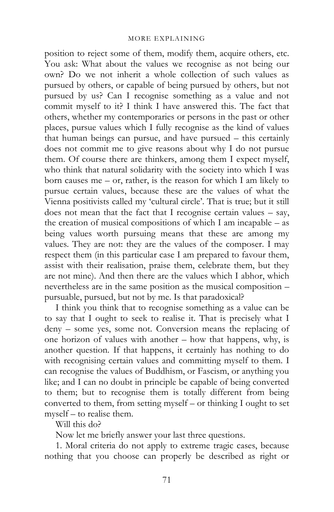position to reject some of them, modify them, acquire others, etc. You ask: What about the values we recognise as not being our own? Do we not inherit a whole collection of such values as pursued by others, or capable of being pursued by others, but not pursued by us? Can I recognise something as a value and not commit myself to it? I think I have answered this. The fact that others, whether my contemporaries or persons in the past or other places, pursue values which I fully recognise as the kind of values  $\frac{1}{1}$  that human beings can pursue, and have pursued – this certainly does not commit me to give reasons about why I do not pursue them. Of course there are thinkers, among them I expect myself, who think that natural solidarity with the society into which I was born causes me – or, rather, is the reason for which I am likely to pursue certain values, because these are the values of what the Vienna positivists called my 'cultural circle'. That is true; but it still does not mean that the fact that I recognise certain values – say, the creation of musical compositions of which I am incapable  $-$  as being values worth pursuing means that these are among my values. They are not: they are the values of the composer. I may respect them (in this particular case I am prepared to favour them, assist with their realisation, praise them, celebrate them, but they are not mine). And then there are the values which I abhor, which nevertheless are in the same position as the musical composition – pursuable, pursued, but not by me. Is that paradoxical?

I think you think that to recognise something as a value can be to say that I ought to seek to realise it. That is precisely what I deny – some yes, some not. Conversion means the replacing of one horizon of values with another – how that happens, why, is another question. If that happens, it certainly has nothing to do with recognising certain values and committing myself to them. I can recognise the values of Buddhism, or Fascism, or anything you like; and I can no doubt in principle be capable of being converted to them; but to recognise them is totally different from being converted to them, from setting myself – or thinking I ought to set myself – to realise them.

Will this do?

Now let me briefly answer your last three questions.

1. Moral criteria do not apply to extreme tragic cases, because nothing that you choose can properly be described as right or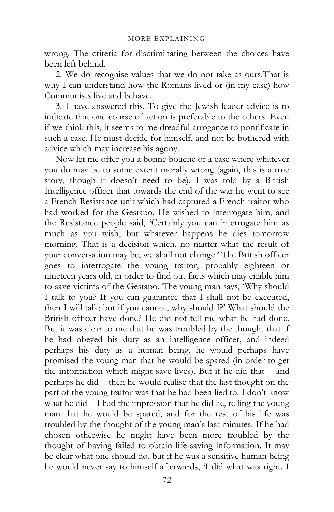wrong. The criteria for discriminating between the choices have been left behind.

2. We do recognise values that we do not take as ours.That is why I can understand how the Romans lived or (in my case) how Communists live and behave.

3. I have answered this. To give the Jewish leader advice is to indicate that one course of action is preferable to the others. Even if we think this, it seems to me dreadful arrogance to pontificate in such a case. He must decide for himself, and not be bothered with advice which may increase his agony.

Now let me offer you a bonne bouche of a case where whatever you do may be to some extent morally wrong (again, this is a true story, though it doesn't need to be). I was told by a British Intelligence officer that towards the end of the war he went to see a French Resistance unit which had captured a French traitor who had worked for the Gestapo. He wished to interrogate him, and the Resistance people said, 'Certainly you can interrogate him as much as you wish, but whatever happens he dies tomorrow morning. That is a decision which, no matter what the result of your conversation may be, we shall not change.' The British officer goes to interrogate the young traitor, probably eighteen or nineteen years old, in order to find out facts which may enable him to save victims of the Gestapo. The young man says, 'Why should I talk to you? If you can guarantee that I shall not be executed, then I will talk; but if you cannot, why should I?' What should the British officer have done? He did not tell me what he had done. But it was clear to me that he was troubled by the thought that if he had obeyed his duty as an intelligence officer, and indeed perhaps his duty as a human being, he would perhaps have promised the young man that he would be spared (in order to get the information which might save lives). But if he did that – and perhaps he did – then he would realise that the last thought on the part of the young traitor was that he had been lied to. I don't know what he did – I had the impression that he did lie, telling the young man that he would be spared, and for the rest of his life was troubled by the thought of the young man's last minutes. If he had chosen otherwise he might have been more troubled by the thought of having failed to obtain life-saving information. It may be clear what one should do, but if he was a sensitive human being he would never say to himself afterwards, 'I did what was right. I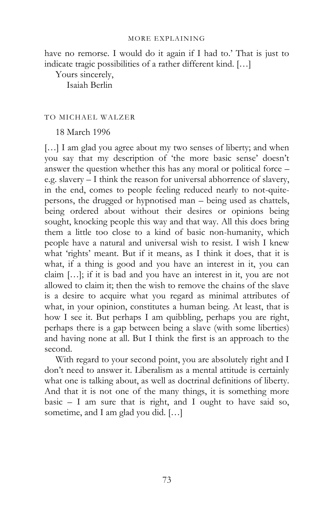#### MORE EXPLAINING

have no remorse. I would do it again if I had to.' That is just to indicate tragic possibilities of a rather different kind. […]

Yours sincerely, Isaiah Berlin

### TO MICHAEL WALZER

18 March 1996

[...] I am glad you agree about my two senses of liberty; and when you say that my description of 'the more basic sense' doesn't answer the question whether this has any moral or political force – e.g. slavery – I think the reason for universal abhorrence of slavery, in the end, comes to people feeling reduced nearly to not-quitepersons, the drugged or hypnotised man – being used as chattels, being ordered about without their desires or opinions being sought, knocking people this way and that way. All this does bring them a little too close to a kind of basic non-humanity, which people have a natural and universal wish to resist. I wish I knew what 'rights' meant. But if it means, as I think it does, that it is what, if a thing is good and you have an interest in it, you can claim […]; if it is bad and you have an interest in it, you are not allowed to claim it; then the wish to remove the chains of the slave is a desire to acquire what you regard as minimal attributes of what, in your opinion, constitutes a human being. At least, that is how I see it. But perhaps I am quibbling, perhaps you are right, perhaps there is a gap between being a slave (with some liberties) and having none at all. But I think the first is an approach to the second.

With regard to your second point, you are absolutely right and I don't need to answer it. Liberalism as a mental attitude is certainly what one is talking about, as well as doctrinal definitions of liberty. And that it is not one of the many things, it is something more basic – I am sure that is right, and I ought to have said so, sometime, and I am glad you did. […]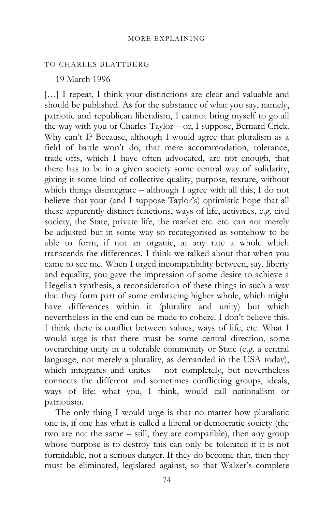#### TO CHARLES BLATTBERG

#### 19 March 1996

[...] I repeat, I think your distinctions are clear and valuable and should be published. As for the substance of what you say, namely, patriotic and republican liberalism, I cannot bring myself to go all the way with you or Charles Taylor – or, I suppose, Bernard Crick. Why can't I? Because, although I would agree that pluralism as a field of battle won't do, that mere accommodation, tolerance, trade-offs, which I have often advocated, are not enough, that there has to be in a given society some central way of solidarity, giving it some kind of collective quality, purpose, texture, without which things disintegrate – although I agree with all this, I do not believe that your (and I suppose Taylor's) optimistic hope that all these apparently distinct functions, ways of life, activities, e.g. civil society, the State, private life, the market etc. etc. can not merely be adjusted but in some way so recategorised as somehow to be able to form, if not an organic, at any rate a whole which transcends the differences. I think we talked about that when you came to see me. When I urged incompatibility between, say, liberty and equality, you gave the impression of some desire to achieve a Hegelian synthesis, a reconsideration of these things in such a way that they form part of some embracing higher whole, which might have differences within it (plurality and unity) but which nevertheless in the end can be made to cohere. I don't believe this. I think there is conflict between values, ways of life, etc. What I would urge is that there must be some central direction, some overarching unity in a tolerable community or State (e.g. a central language, not merely a plurality, as demanded in the USA today), which integrates and unites – not completely, but nevertheless connects the different and sometimes conflicting groups, ideals, ways of life: what you, I think, would call nationalism or patriotism.

The only thing I would urge is that no matter how pluralistic one is, if one has what is called a liberal or democratic society (the two are not the same – still, they are compatible), then any group whose purpose is to destroy this can only be tolerated if it is not formidable, not a serious danger. If they do become that, then they must be eliminated, legislated against, so that Walzer's complete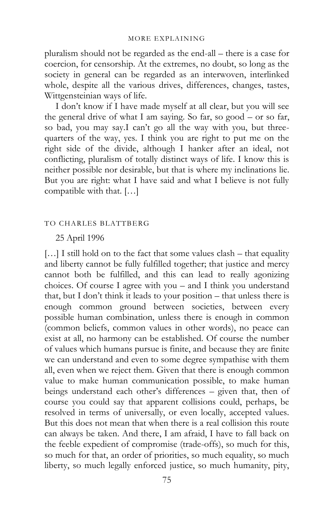pluralism should not be regarded as the end-all – there is a case for coercion, for censorship. At the extremes, no doubt, so long as the society in general can be regarded as an interwoven, interlinked whole, despite all the various drives, differences, changes, tastes, Wittgensteinian ways of life.

I don't know if I have made myself at all clear, but you will see the general drive of what I am saying. So far, so good – or so far, so bad, you may say.I can't go all the way with you, but threequarters of the way, yes. I think you are right to put me on the right side of the divide, although I hanker after an ideal, not conflicting, pluralism of totally distinct ways of life. I know this is neither possible nor desirable, but that is where my inclinations lie. But you are right: what I have said and what I believe is not fully compatible with that. […]

# TO CHARLES BLATTBERG

# 25 April 1996

[...] I still hold on to the fact that some values clash – that equality and liberty cannot be fully fulfilled together; that justice and mercy cannot both be fulfilled, and this can lead to really agonizing choices. Of course I agree with you – and I think you understand that, but I don't think it leads to your position – that unless there is enough common ground between societies, between every possible human combination, unless there is enough in common (common beliefs, common values in other words), no peace can exist at all, no harmony can be established. Of course the number of values which humans pursue is finite, and because they are finite we can understand and even to some degree sympathise with them all, even when we reject them. Given that there is enough common value to make human communication possible, to make human beings understand each other's differences – given that, then of course you could say that apparent collisions could, perhaps, be resolved in terms of universally, or even locally, accepted values. But this does not mean that when there is a real collision this route can always be taken. And there, I am afraid, I have to fall back on the feeble expedient of compromise (trade-offs), so much for this, so much for that, an order of priorities, so much equality, so much liberty, so much legally enforced justice, so much humanity, pity,